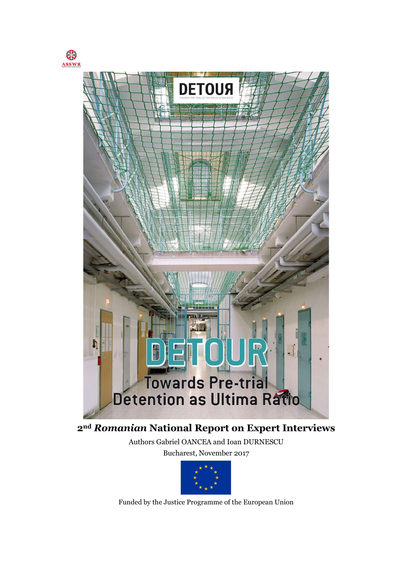



2nd Romanian National Report on Expert Interviews

Authors Gabriel OANCEA and Ioan DURNESCU Bucharest, November 2017



Funded by the Justice Programme of the European Union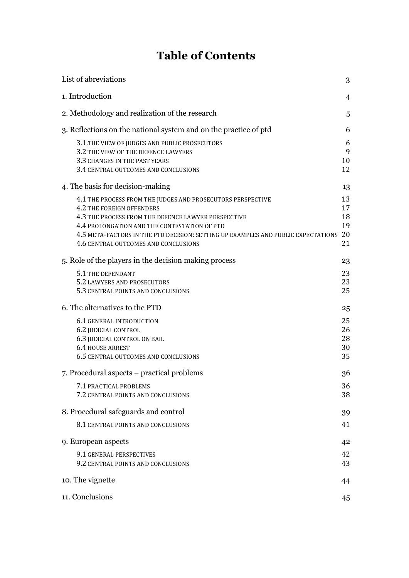# Table of Contents

| List of abreviations                                                                                                         | 3        |
|------------------------------------------------------------------------------------------------------------------------------|----------|
| 1. Introduction                                                                                                              | 4        |
| 2. Methodology and realization of the research                                                                               | 5        |
| 3. Reflections on the national system and on the practice of ptd                                                             | 6        |
| 3.1. THE VIEW OF JUDGES AND PUBLIC PROSECUTORS                                                                               | 6        |
| 3.2 THE VIEW OF THE DEFENCE LAWYERS                                                                                          | 9        |
| 3.3 CHANGES IN THE PAST YEARS<br>3.4 CENTRAL OUTCOMES AND CONCLUSIONS                                                        | 10<br>12 |
|                                                                                                                              |          |
| 4. The basis for decision-making                                                                                             | 13       |
| 4.1 THE PROCESS FROM THE JUDGES AND PROSECUTORS PERSPECTIVE                                                                  | 13       |
| 4.2 THE FOREIGN OFFENDERS                                                                                                    | 17       |
| 4.3 THE PROCESS FROM THE DEFENCE LAWYER PERSPECTIVE                                                                          | 18       |
| 4.4 PROLONGATION AND THE CONTESTATION OF PTD                                                                                 | 19       |
| 4.5 META-FACTORS IN THE PTD DECISION: SETTING UP EXAMPLES AND PUBLIC EXPECTATIONS 20<br>4.6 CENTRAL OUTCOMES AND CONCLUSIONS | 21       |
|                                                                                                                              |          |
| 5. Role of the players in the decision making process                                                                        | 23       |
| 5.1 THE DEFENDANT                                                                                                            | 23       |
| 5.2 LAWYERS AND PROSECUTORS                                                                                                  | 23       |
| 5.3 CENTRAL POINTS AND CONCLUSIONS                                                                                           | 25       |
| 6. The alternatives to the PTD                                                                                               | 25       |
| <b>6.1 GENERAL INTRODUCTION</b>                                                                                              | 25       |
| 6.2 JUDICIAL CONTROL                                                                                                         | 26       |
| 6.3 JUDICIAL CONTROL ON BAIL                                                                                                 | 28       |
| 6.4 HOUSE ARREST                                                                                                             | 30       |
| 6.5 CENTRAL OUTCOMES AND CONCLUSIONS                                                                                         | 35       |
| 7. Procedural aspects – practical problems                                                                                   | 36       |
| 7.1 PRACTICAL PROBLEMS                                                                                                       | 36       |
| 7.2 CENTRAL POINTS AND CONCLUSIONS                                                                                           | 38       |
| 8. Procedural safeguards and control                                                                                         |          |
|                                                                                                                              | 39       |
| 8.1 CENTRAL POINTS AND CONCLUSIONS                                                                                           | 41       |
| 9. European aspects                                                                                                          | 42       |
| 9.1 GENERAL PERSPECTIVES                                                                                                     | 42       |
| 9.2 CENTRAL POINTS AND CONCLUSIONS                                                                                           | 43       |
| 10. The vignette                                                                                                             | 44       |
|                                                                                                                              |          |
| 11. Conclusions                                                                                                              | 45       |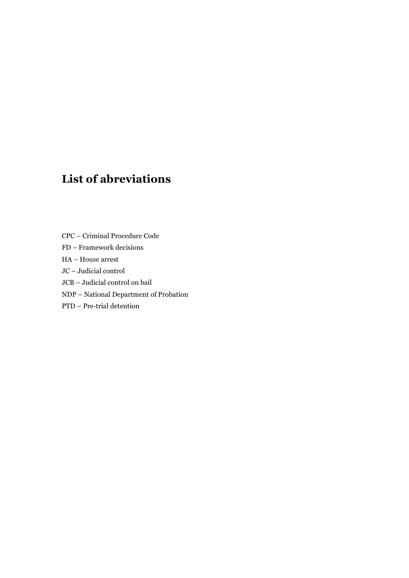# List of abreviations

- CPC Criminal Procedure Code
- FD Framework decisions
- HA House arrest
- JC Judicial control
- JCB Judicial control on bail
- NDP National Department of Probation
- PTD Pre-trial detention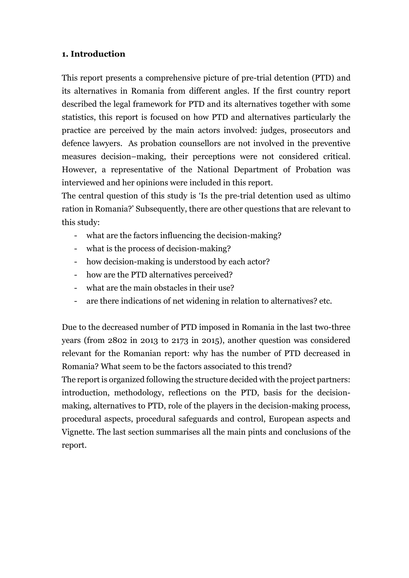#### 1. Introduction

This report presents a comprehensive picture of pre-trial detention (PTD) and its alternatives in Romania from different angles. If the first country report described the legal framework for PTD and its alternatives together with some statistics, this report is focused on how PTD and alternatives particularly the practice are perceived by the main actors involved: judges, prosecutors and defence lawyers. As probation counsellors are not involved in the preventive measures decision–making, their perceptions were not considered critical. However, a representative of the National Department of Probation was interviewed and her opinions were included in this report.

The central question of this study is 'Is the pre-trial detention used as ultimo ration in Romania?' Subsequently, there are other questions that are relevant to this study:

- what are the factors influencing the decision-making?
- what is the process of decision-making?
- how decision-making is understood by each actor?
- how are the PTD alternatives perceived?
- what are the main obstacles in their use?
- are there indications of net widening in relation to alternatives? etc.

Due to the decreased number of PTD imposed in Romania in the last two-three years (from 2802 in 2013 to 2173 in 2015), another question was considered relevant for the Romanian report: why has the number of PTD decreased in Romania? What seem to be the factors associated to this trend?

The report is organized following the structure decided with the project partners: introduction, methodology, reflections on the PTD, basis for the decisionmaking, alternatives to PTD, role of the players in the decision-making process, procedural aspects, procedural safeguards and control, European aspects and Vignette. The last section summarises all the main pints and conclusions of the report.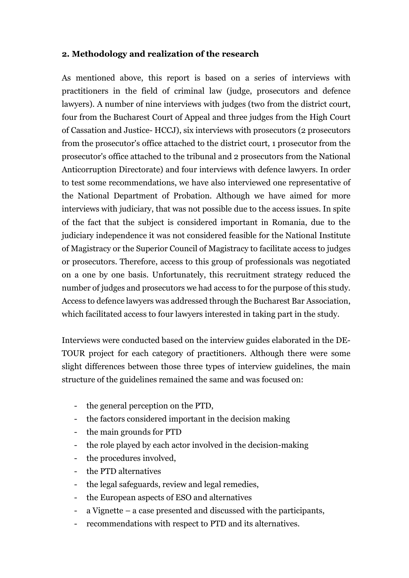#### 2. Methodology and realization of the research

As mentioned above, this report is based on a series of interviews with practitioners in the field of criminal law (judge, prosecutors and defence lawyers). A number of nine interviews with judges (two from the district court, four from the Bucharest Court of Appeal and three judges from the High Court of Cassation and Justice- HCCJ), six interviews with prosecutors (2 prosecutors from the prosecutor's office attached to the district court, 1 prosecutor from the prosecutor's office attached to the tribunal and 2 prosecutors from the National Anticorruption Directorate) and four interviews with defence lawyers. In order to test some recommendations, we have also interviewed one representative of the National Department of Probation. Although we have aimed for more interviews with judiciary, that was not possible due to the access issues. In spite of the fact that the subject is considered important in Romania, due to the judiciary independence it was not considered feasible for the National Institute of Magistracy or the Superior Council of Magistracy to facilitate access to judges or prosecutors. Therefore, access to this group of professionals was negotiated on a one by one basis. Unfortunately, this recruitment strategy reduced the number of judges and prosecutors we had access to for the purpose of this study. Access to defence lawyers was addressed through the Bucharest Bar Association, which facilitated access to four lawyers interested in taking part in the study.

Interviews were conducted based on the interview guides elaborated in the DE-TOUR project for each category of practitioners. Although there were some slight differences between those three types of interview guidelines, the main structure of the guidelines remained the same and was focused on:

- the general perception on the PTD,
- the factors considered important in the decision making
- the main grounds for PTD
- the role played by each actor involved in the decision-making
- the procedures involved,
- the PTD alternatives
- the legal safeguards, review and legal remedies,
- the European aspects of ESO and alternatives
- a Vignette a case presented and discussed with the participants,
- recommendations with respect to PTD and its alternatives.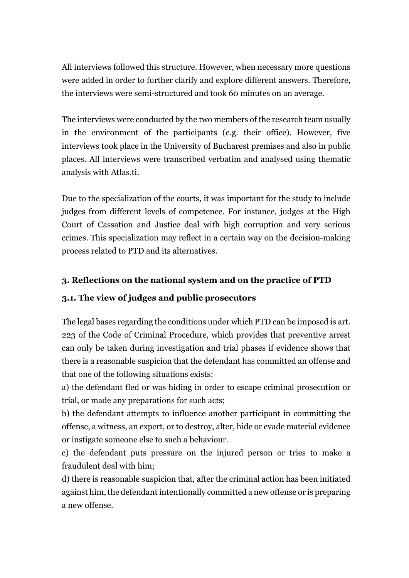All interviews followed this structure. However, when necessary more questions were added in order to further clarify and explore different answers. Therefore, the interviews were semi-structured and took 60 minutes on an average.

The interviews were conducted by the two members of the research team usually in the environment of the participants (e.g. their office). However, five interviews took place in the University of Bucharest premises and also in public places. All interviews were transcribed verbatim and analysed using thematic analysis with Atlas.ti.

Due to the specialization of the courts, it was important for the study to include judges from different levels of competence. For instance, judges at the High Court of Cassation and Justice deal with high corruption and very serious crimes. This specialization may reflect in a certain way on the decision-making process related to PTD and its alternatives.

# 3. Reflections on the national system and on the practice of PTD

#### 3.1. The view of judges and public prosecutors

The legal bases regarding the conditions under which PTD can be imposed is art. 223 of the Code of Criminal Procedure, which provides that preventive arrest can only be taken during investigation and trial phases if evidence shows that there is a reasonable suspicion that the defendant has committed an offense and that one of the following situations exists:

a) the defendant fled or was hiding in order to escape criminal prosecution or trial, or made any preparations for such acts;

b) the defendant attempts to influence another participant in committing the offense, a witness, an expert, or to destroy, alter, hide or evade material evidence or instigate someone else to such a behaviour.

c) the defendant puts pressure on the injured person or tries to make a fraudulent deal with him;

d) there is reasonable suspicion that, after the criminal action has been initiated against him, the defendant intentionally committed a new offense or is preparing a new offense.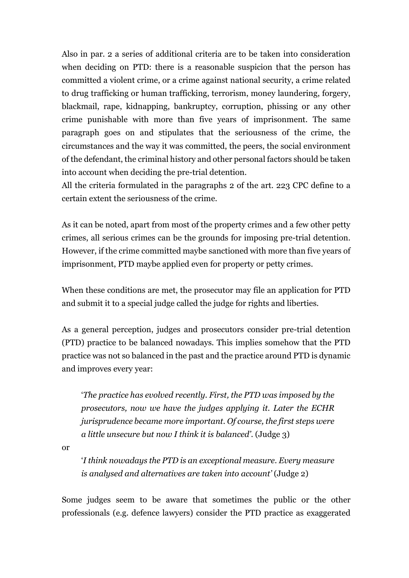Also in par. 2 a series of additional criteria are to be taken into consideration when deciding on PTD: there is a reasonable suspicion that the person has committed a violent crime, or a crime against national security, a crime related to drug trafficking or human trafficking, terrorism, money laundering, forgery, blackmail, rape, kidnapping, bankruptcy, corruption, phissing or any other crime punishable with more than five years of imprisonment. The same paragraph goes on and stipulates that the seriousness of the crime, the circumstances and the way it was committed, the peers, the social environment of the defendant, the criminal history and other personal factors should be taken into account when deciding the pre-trial detention.

All the criteria formulated in the paragraphs 2 of the art. 223 CPC define to a certain extent the seriousness of the crime.

As it can be noted, apart from most of the property crimes and a few other petty crimes, all serious crimes can be the grounds for imposing pre-trial detention. However, if the crime committed maybe sanctioned with more than five years of imprisonment, PTD maybe applied even for property or petty crimes.

When these conditions are met, the prosecutor may file an application for PTD and submit it to a special judge called the judge for rights and liberties.

As a general perception, judges and prosecutors consider pre-trial detention (PTD) practice to be balanced nowadays. This implies somehow that the PTD practice was not so balanced in the past and the practice around PTD is dynamic and improves every year:

'The practice has evolved recently. First, the PTD was imposed by the prosecutors, now we have the judges applying it. Later the ECHR jurisprudence became more important. Of course, the first steps were a little unsecure but now I think it is balanced'. (Judge 3)

or

'I think nowadays the PTD is an exceptional measure. Every measure is analysed and alternatives are taken into account' (Judge 2)

Some judges seem to be aware that sometimes the public or the other professionals (e.g. defence lawyers) consider the PTD practice as exaggerated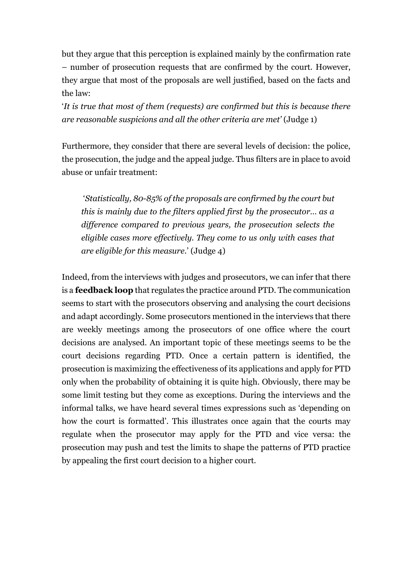but they argue that this perception is explained mainly by the confirmation rate – number of prosecution requests that are confirmed by the court. However, they argue that most of the proposals are well justified, based on the facts and the law:

'It is true that most of them (requests) are confirmed but this is because there are reasonable suspicions and all the other criteria are met' (Judge 1)

Furthermore, they consider that there are several levels of decision: the police, the prosecution, the judge and the appeal judge. Thus filters are in place to avoid abuse or unfair treatment:

 'Statistically, 80-85% of the proposals are confirmed by the court but this is mainly due to the filters applied first by the prosecutor… as a difference compared to previous years, the prosecution selects the eligible cases more effectively. They come to us only with cases that are eligible for this measure.' (Judge 4)

Indeed, from the interviews with judges and prosecutors, we can infer that there is a feedback loop that regulates the practice around PTD. The communication seems to start with the prosecutors observing and analysing the court decisions and adapt accordingly. Some prosecutors mentioned in the interviews that there are weekly meetings among the prosecutors of one office where the court decisions are analysed. An important topic of these meetings seems to be the court decisions regarding PTD. Once a certain pattern is identified, the prosecution is maximizing the effectiveness of its applications and apply for PTD only when the probability of obtaining it is quite high. Obviously, there may be some limit testing but they come as exceptions. During the interviews and the informal talks, we have heard several times expressions such as 'depending on how the court is formatted'. This illustrates once again that the courts may regulate when the prosecutor may apply for the PTD and vice versa: the prosecution may push and test the limits to shape the patterns of PTD practice by appealing the first court decision to a higher court.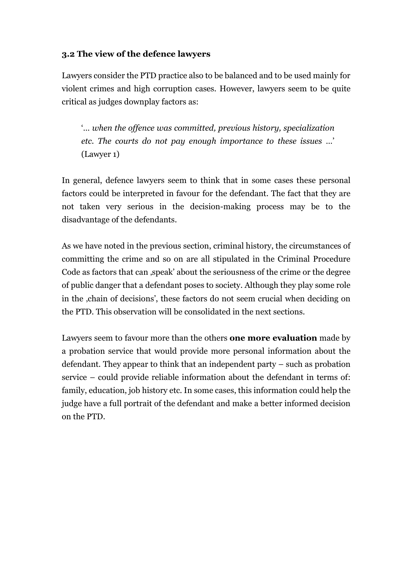#### 3.2 The view of the defence lawyers

Lawyers consider the PTD practice also to be balanced and to be used mainly for violent crimes and high corruption cases. However, lawyers seem to be quite critical as judges downplay factors as:

'… when the offence was committed, previous history, specialization etc. The courts do not pay enough importance to these issues …' (Lawyer 1)

In general, defence lawyers seem to think that in some cases these personal factors could be interpreted in favour for the defendant. The fact that they are not taken very serious in the decision-making process may be to the disadvantage of the defendants.

As we have noted in the previous section, criminal history, the circumstances of committing the crime and so on are all stipulated in the Criminal Procedure Code as factors that can , speak' about the seriousness of the crime or the degree of public danger that a defendant poses to society. Although they play some role in the , chain of decisions', these factors do not seem crucial when deciding on the PTD. This observation will be consolidated in the next sections.

Lawyers seem to favour more than the others one more evaluation made by a probation service that would provide more personal information about the defendant. They appear to think that an independent party – such as probation service – could provide reliable information about the defendant in terms of: family, education, job history etc. In some cases, this information could help the judge have a full portrait of the defendant and make a better informed decision on the PTD.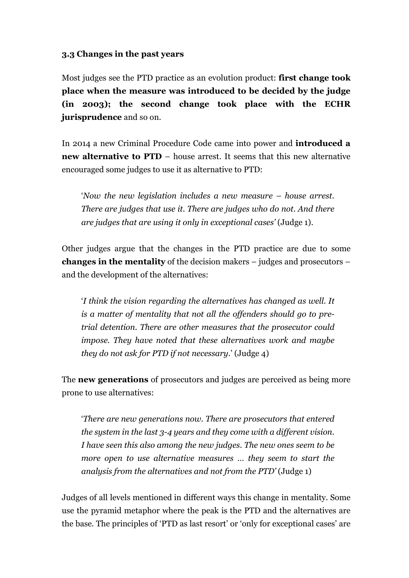#### 3.3 Changes in the past years

Most judges see the PTD practice as an evolution product: **first change took** place when the measure was introduced to be decided by the judge (in 2003); the second change took place with the ECHR jurisprudence and so on.

In 2014 a new Criminal Procedure Code came into power and introduced a new alternative to PTD – house arrest. It seems that this new alternative encouraged some judges to use it as alternative to PTD:

'Now the new legislation includes a new measure – house arrest. There are judges that use it. There are judges who do not. And there are judges that are using it only in exceptional cases' (Judge 1).

Other judges argue that the changes in the PTD practice are due to some changes in the mentality of the decision makers – judges and prosecutors – and the development of the alternatives:

'I think the vision regarding the alternatives has changed as well. It is a matter of mentality that not all the offenders should go to pretrial detention. There are other measures that the prosecutor could impose. They have noted that these alternatives work and maybe they do not ask for PTD if not necessary.' (Judge 4)

The **new generations** of prosecutors and judges are perceived as being more prone to use alternatives:

'There are new generations now. There are prosecutors that entered the system in the last 3-4 years and they come with a different vision. I have seen this also among the new judges. The new ones seem to be more open to use alternative measures … they seem to start the analysis from the alternatives and not from the PTD' (Judge 1)

Judges of all levels mentioned in different ways this change in mentality. Some use the pyramid metaphor where the peak is the PTD and the alternatives are the base. The principles of 'PTD as last resort' or 'only for exceptional cases' are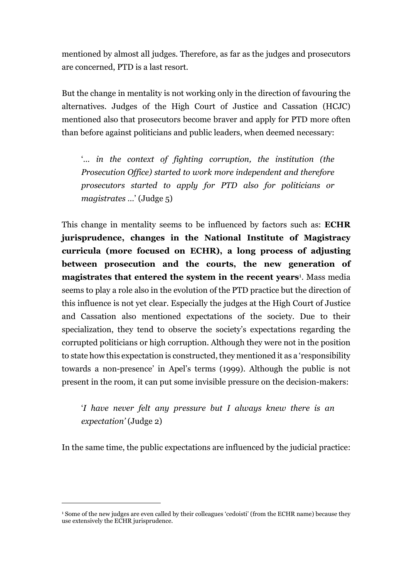mentioned by almost all judges. Therefore, as far as the judges and prosecutors are concerned, PTD is a last resort.

But the change in mentality is not working only in the direction of favouring the alternatives. Judges of the High Court of Justice and Cassation (HCJC) mentioned also that prosecutors become braver and apply for PTD more often than before against politicians and public leaders, when deemed necessary:

'… in the context of fighting corruption, the institution (the Prosecution Office) started to work more independent and therefore prosecutors started to apply for PTD also for politicians or magistrates …' (Judge 5)

This change in mentality seems to be influenced by factors such as: ECHR jurisprudence, changes in the National Institute of Magistracy curricula (more focused on ECHR), a long process of adjusting between prosecution and the courts, the new generation of magistrates that entered the system in the recent years<sup>1</sup>. Mass media seems to play a role also in the evolution of the PTD practice but the direction of this influence is not yet clear. Especially the judges at the High Court of Justice and Cassation also mentioned expectations of the society. Due to their specialization, they tend to observe the society's expectations regarding the corrupted politicians or high corruption. Although they were not in the position to state how this expectation is constructed, they mentioned it as a 'responsibility towards a non-presence' in Apel's terms (1999). Although the public is not present in the room, it can put some invisible pressure on the decision-makers:

'I have never felt any pressure but I always knew there is an expectation' (Judge 2)

In the same time, the public expectations are influenced by the judicial practice:

-

<sup>1</sup> Some of the new judges are even called by their colleagues 'cedoisti' (from the ECHR name) because they use extensively the ECHR jurisprudence.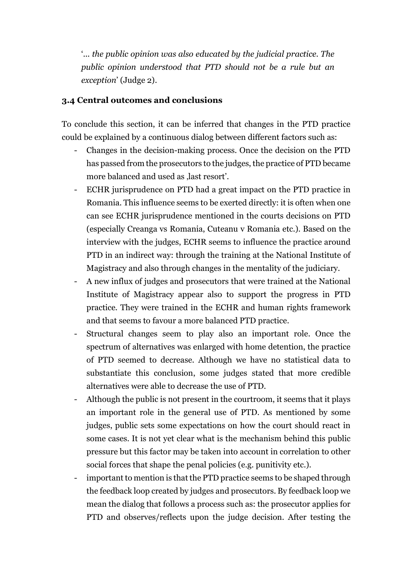'... the public opinion was also educated by the judicial practice. The public opinion understood that PTD should not be a rule but an exception' (Judge 2).

#### 3.4 Central outcomes and conclusions

To conclude this section, it can be inferred that changes in the PTD practice could be explained by a continuous dialog between different factors such as:

- Changes in the decision-making process. Once the decision on the PTD has passed from the prosecutors to the judges, the practice of PTD became more balanced and used as last resort'.
- ECHR jurisprudence on PTD had a great impact on the PTD practice in Romania. This influence seems to be exerted directly: it is often when one can see ECHR jurisprudence mentioned in the courts decisions on PTD (especially Creanga vs Romania, Cuteanu v Romania etc.). Based on the interview with the judges, ECHR seems to influence the practice around PTD in an indirect way: through the training at the National Institute of Magistracy and also through changes in the mentality of the judiciary.
- A new influx of judges and prosecutors that were trained at the National Institute of Magistracy appear also to support the progress in PTD practice. They were trained in the ECHR and human rights framework and that seems to favour a more balanced PTD practice.
- Structural changes seem to play also an important role. Once the spectrum of alternatives was enlarged with home detention, the practice of PTD seemed to decrease. Although we have no statistical data to substantiate this conclusion, some judges stated that more credible alternatives were able to decrease the use of PTD.
- Although the public is not present in the courtroom, it seems that it plays an important role in the general use of PTD. As mentioned by some judges, public sets some expectations on how the court should react in some cases. It is not yet clear what is the mechanism behind this public pressure but this factor may be taken into account in correlation to other social forces that shape the penal policies (e.g. punitivity etc.).
- important to mention is that the PTD practice seems to be shaped through the feedback loop created by judges and prosecutors. By feedback loop we mean the dialog that follows a process such as: the prosecutor applies for PTD and observes/reflects upon the judge decision. After testing the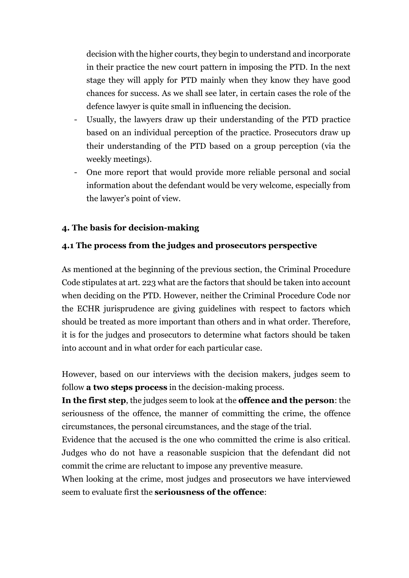decision with the higher courts, they begin to understand and incorporate in their practice the new court pattern in imposing the PTD. In the next stage they will apply for PTD mainly when they know they have good chances for success. As we shall see later, in certain cases the role of the defence lawyer is quite small in influencing the decision.

- Usually, the lawyers draw up their understanding of the PTD practice based on an individual perception of the practice. Prosecutors draw up their understanding of the PTD based on a group perception (via the weekly meetings).
- One more report that would provide more reliable personal and social information about the defendant would be very welcome, especially from the lawyer's point of view.

#### 4. The basis for decision-making

#### 4.1 The process from the judges and prosecutors perspective

As mentioned at the beginning of the previous section, the Criminal Procedure Code stipulates at art. 223 what are the factors that should be taken into account when deciding on the PTD. However, neither the Criminal Procedure Code nor the ECHR jurisprudence are giving guidelines with respect to factors which should be treated as more important than others and in what order. Therefore, it is for the judges and prosecutors to determine what factors should be taken into account and in what order for each particular case.

However, based on our interviews with the decision makers, judges seem to follow **a two steps process** in the decision-making process.

In the first step, the judges seem to look at the offence and the person: the seriousness of the offence, the manner of committing the crime, the offence circumstances, the personal circumstances, and the stage of the trial.

Evidence that the accused is the one who committed the crime is also critical. Judges who do not have a reasonable suspicion that the defendant did not commit the crime are reluctant to impose any preventive measure.

When looking at the crime, most judges and prosecutors we have interviewed seem to evaluate first the **seriousness of the offence**: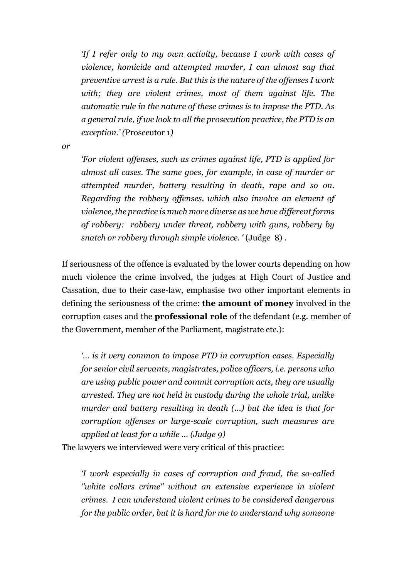'If I refer only to my own activity, because I work with cases of violence, homicide and attempted murder, I can almost say that preventive arrest is a rule. But this is the nature of the offenses I work with; they are violent crimes, most of them against life. The automatic rule in the nature of these crimes is to impose the PTD. As a general rule, if we look to all the prosecution practice, the PTD is an exception.' (Prosecutor 1)

or

'For violent offenses, such as crimes against life, PTD is applied for almost all cases. The same goes, for example, in case of murder or attempted murder, battery resulting in death, rape and so on. Regarding the robbery offenses, which also involve an element of violence, the practice is much more diverse as we have different forms of robbery: robbery under threat, robbery with guns, robbery by snatch or robbery through simple violence. ' (Judge 8) .

If seriousness of the offence is evaluated by the lower courts depending on how much violence the crime involved, the judges at High Court of Justice and Cassation, due to their case-law, emphasise two other important elements in defining the seriousness of the crime: the amount of money involved in the corruption cases and the professional role of the defendant (e.g. member of the Government, member of the Parliament, magistrate etc.):

'... is it very common to impose PTD in corruption cases. Especially for senior civil servants, magistrates, police officers, i.e. persons who are using public power and commit corruption acts, they are usually arrested. They are not held in custody during the whole trial, unlike murder and battery resulting in death (...) but the idea is that for corruption offenses or large-scale corruption, such measures are applied at least for a while … (Judge 9)

The lawyers we interviewed were very critical of this practice:

'I work especially in cases of corruption and fraud, the so-called "white collars crime" without an extensive experience in violent crimes. I can understand violent crimes to be considered dangerous for the public order, but it is hard for me to understand why someone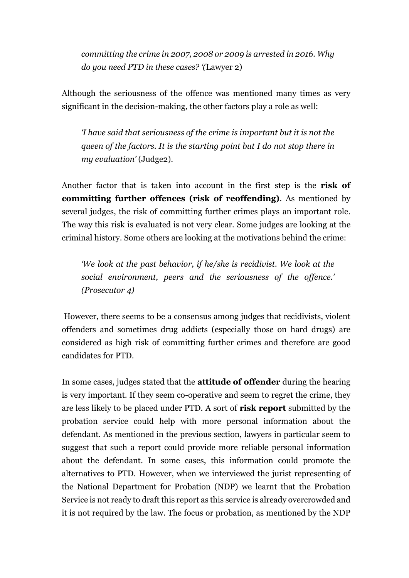committing the crime in 2007, 2008 or 2009 is arrested in 2016. Why do you need PTD in these cases? '(Lawyer 2)

Although the seriousness of the offence was mentioned many times as very significant in the decision-making, the other factors play a role as well:

'I have said that seriousness of the crime is important but it is not the queen of the factors. It is the starting point but I do not stop there in my evaluation' (Judge2).

Another factor that is taken into account in the first step is the risk of committing further offences (risk of reoffending). As mentioned by several judges, the risk of committing further crimes plays an important role. The way this risk is evaluated is not very clear. Some judges are looking at the criminal history. Some others are looking at the motivations behind the crime:

'We look at the past behavior, if he/she is recidivist. We look at the social environment, peers and the seriousness of the offence.' (Prosecutor 4)

 However, there seems to be a consensus among judges that recidivists, violent offenders and sometimes drug addicts (especially those on hard drugs) are considered as high risk of committing further crimes and therefore are good candidates for PTD.

In some cases, judges stated that the attitude of offender during the hearing is very important. If they seem co-operative and seem to regret the crime, they are less likely to be placed under PTD. A sort of risk report submitted by the probation service could help with more personal information about the defendant. As mentioned in the previous section, lawyers in particular seem to suggest that such a report could provide more reliable personal information about the defendant. In some cases, this information could promote the alternatives to PTD. However, when we interviewed the jurist representing of the National Department for Probation (NDP) we learnt that the Probation Service is not ready to draft this report as this service is already overcrowded and it is not required by the law. The focus or probation, as mentioned by the NDP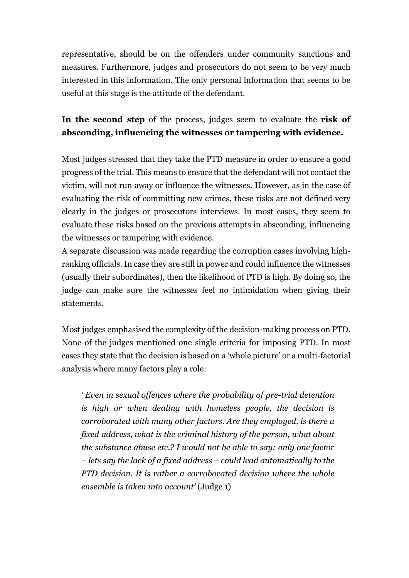representative, should be on the offenders under community sanctions and measures. Furthermore, judges and prosecutors do not seem to be very much interested in this information. The only personal information that seems to be useful at this stage is the attitude of the defendant.

# In the second step of the process, judges seem to evaluate the risk of absconding, influencing the witnesses or tampering with evidence.

Most judges stressed that they take the PTD measure in order to ensure a good progress of the trial. This means to ensure that the defendant will not contact the victim, will not run away or influence the witnesses. However, as in the case of evaluating the risk of committing new crimes, these risks are not defined very clearly in the judges or prosecutors interviews. In most cases, they seem to evaluate these risks based on the previous attempts in absconding, influencing the witnesses or tampering with evidence.

A separate discussion was made regarding the corruption cases involving highranking officials. In case they are still in power and could influence the witnesses (usually their subordinates), then the likelihood of PTD is high. By doing so, the judge can make sure the witnesses feel no intimidation when giving their statements.

Most judges emphasised the complexity of the decision-making process on PTD. None of the judges mentioned one single criteria for imposing PTD. In most cases they state that the decision is based on a 'whole picture' or a multi-factorial analysis where many factors play a role:

' Even in sexual offences where the probability of pre-trial detention is high or when dealing with homeless people, the decision is corroborated with many other factors. Are they employed, is there a fixed address, what is the criminal history of the person, what about the substance abuse etc.? I would not be able to say: only one factor – lets say the lack of a fixed address – could lead automatically to the PTD decision. It is rather a corroborated decision where the whole ensemble is taken into account' (Judge 1)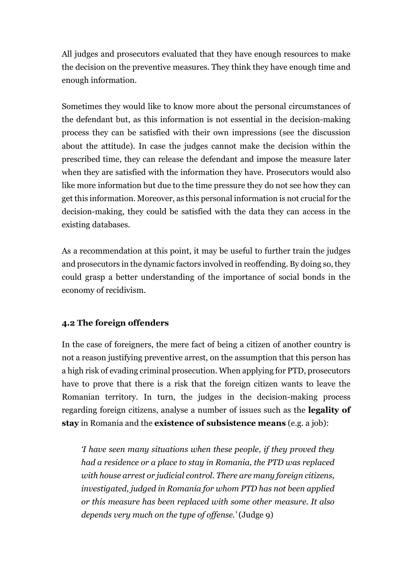All judges and prosecutors evaluated that they have enough resources to make the decision on the preventive measures. They think they have enough time and enough information.

Sometimes they would like to know more about the personal circumstances of the defendant but, as this information is not essential in the decision-making process they can be satisfied with their own impressions (see the discussion about the attitude). In case the judges cannot make the decision within the prescribed time, they can release the defendant and impose the measure later when they are satisfied with the information they have. Prosecutors would also like more information but due to the time pressure they do not see how they can get this information. Moreover, as this personal information is not crucial for the decision-making, they could be satisfied with the data they can access in the existing databases.

As a recommendation at this point, it may be useful to further train the judges and prosecutors in the dynamic factors involved in reoffending. By doing so, they could grasp a better understanding of the importance of social bonds in the economy of recidivism.

# 4.2 The foreign offenders

In the case of foreigners, the mere fact of being a citizen of another country is not a reason justifying preventive arrest, on the assumption that this person has a high risk of evading criminal prosecution. When applying for PTD, prosecutors have to prove that there is a risk that the foreign citizen wants to leave the Romanian territory. In turn, the judges in the decision-making process regarding foreign citizens, analyse a number of issues such as the legality of stay in Romania and the existence of subsistence means (e.g. a job):

'I have seen many situations when these people, if they proved they had a residence or a place to stay in Romania, the PTD was replaced with house arrest or judicial control. There are many foreign citizens, investigated, judged in Romania for whom PTD has not been applied or this measure has been replaced with some other measure. It also depends very much on the type of offense.' (Judge 9)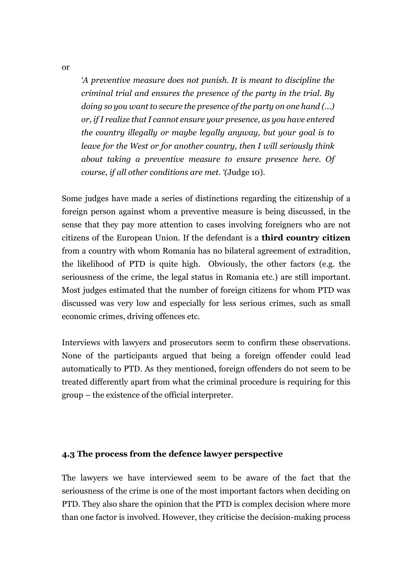'A preventive measure does not punish. It is meant to discipline the criminal trial and ensures the presence of the party in the trial. By doing so you want to secure the presence of the party on one hand (...) or, if I realize that I cannot ensure your presence, as you have entered the country illegally or maybe legally anyway, but your goal is to leave for the West or for another country, then I will seriously think about taking a preventive measure to ensure presence here. Of course, if all other conditions are met. '(Judge 10).

Some judges have made a series of distinctions regarding the citizenship of a foreign person against whom a preventive measure is being discussed, in the sense that they pay more attention to cases involving foreigners who are not citizens of the European Union. If the defendant is a third country citizen from a country with whom Romania has no bilateral agreement of extradition, the likelihood of PTD is quite high. Obviously, the other factors (e.g. the seriousness of the crime, the legal status in Romania etc.) are still important. Most judges estimated that the number of foreign citizens for whom PTD was discussed was very low and especially for less serious crimes, such as small economic crimes, driving offences etc.

Interviews with lawyers and prosecutors seem to confirm these observations. None of the participants argued that being a foreign offender could lead automatically to PTD. As they mentioned, foreign offenders do not seem to be treated differently apart from what the criminal procedure is requiring for this group – the existence of the official interpreter.

#### 4.3 The process from the defence lawyer perspective

The lawyers we have interviewed seem to be aware of the fact that the seriousness of the crime is one of the most important factors when deciding on PTD. They also share the opinion that the PTD is complex decision where more than one factor is involved. However, they criticise the decision-making process

or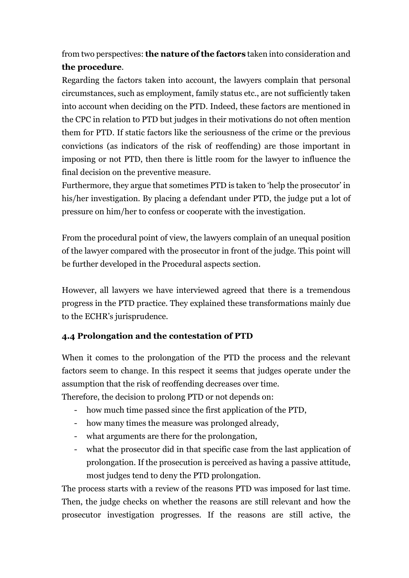from two perspectives: the nature of the factors taken into consideration and the procedure.

Regarding the factors taken into account, the lawyers complain that personal circumstances, such as employment, family status etc., are not sufficiently taken into account when deciding on the PTD. Indeed, these factors are mentioned in the CPC in relation to PTD but judges in their motivations do not often mention them for PTD. If static factors like the seriousness of the crime or the previous convictions (as indicators of the risk of reoffending) are those important in imposing or not PTD, then there is little room for the lawyer to influence the final decision on the preventive measure.

Furthermore, they argue that sometimes PTD is taken to 'help the prosecutor' in his/her investigation. By placing a defendant under PTD, the judge put a lot of pressure on him/her to confess or cooperate with the investigation.

From the procedural point of view, the lawyers complain of an unequal position of the lawyer compared with the prosecutor in front of the judge. This point will be further developed in the Procedural aspects section.

However, all lawyers we have interviewed agreed that there is a tremendous progress in the PTD practice. They explained these transformations mainly due to the ECHR's jurisprudence.

# 4.4 Prolongation and the contestation of PTD

When it comes to the prolongation of the PTD the process and the relevant factors seem to change. In this respect it seems that judges operate under the assumption that the risk of reoffending decreases over time.

Therefore, the decision to prolong PTD or not depends on:

- how much time passed since the first application of the PTD,
- how many times the measure was prolonged already,
- what arguments are there for the prolongation,
- what the prosecutor did in that specific case from the last application of prolongation. If the prosecution is perceived as having a passive attitude, most judges tend to deny the PTD prolongation.

The process starts with a review of the reasons PTD was imposed for last time. Then, the judge checks on whether the reasons are still relevant and how the prosecutor investigation progresses. If the reasons are still active, the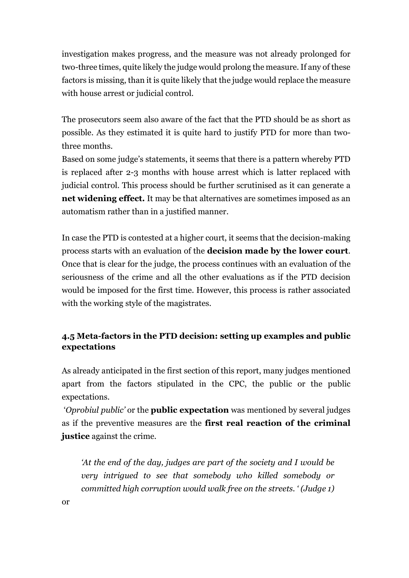investigation makes progress, and the measure was not already prolonged for two-three times, quite likely the judge would prolong the measure. If any of these factors is missing, than it is quite likely that the judge would replace the measure with house arrest or judicial control.

The prosecutors seem also aware of the fact that the PTD should be as short as possible. As they estimated it is quite hard to justify PTD for more than twothree months.

Based on some judge's statements, it seems that there is a pattern whereby PTD is replaced after 2-3 months with house arrest which is latter replaced with judicial control. This process should be further scrutinised as it can generate a net widening effect. It may be that alternatives are sometimes imposed as an automatism rather than in a justified manner.

In case the PTD is contested at a higher court, it seems that the decision-making process starts with an evaluation of the decision made by the lower court. Once that is clear for the judge, the process continues with an evaluation of the seriousness of the crime and all the other evaluations as if the PTD decision would be imposed for the first time. However, this process is rather associated with the working style of the magistrates.

# 4.5 Meta-factors in the PTD decision: setting up examples and public expectations

As already anticipated in the first section of this report, many judges mentioned apart from the factors stipulated in the CPC, the public or the public expectations.

'Oprobiul public' or the **public expectation** was mentioned by several judges as if the preventive measures are the first real reaction of the criminal justice against the crime.

'At the end of the day, judges are part of the society and I would be very intrigued to see that somebody who killed somebody or committed high corruption would walk free on the streets. ' (Judge 1)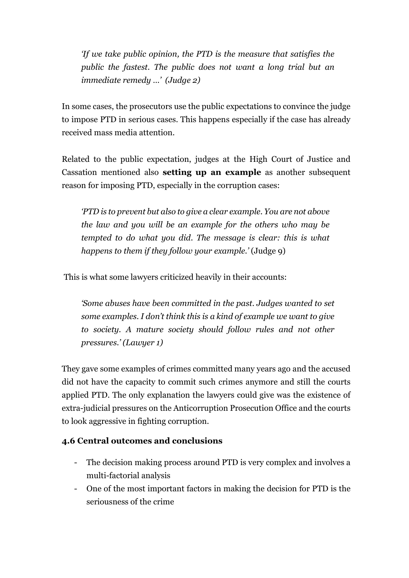'If we take public opinion, the PTD is the measure that satisfies the public the fastest. The public does not want a long trial but an immediate remedy …' (Judge 2)

In some cases, the prosecutors use the public expectations to convince the judge to impose PTD in serious cases. This happens especially if the case has already received mass media attention.

Related to the public expectation, judges at the High Court of Justice and Cassation mentioned also setting up an example as another subsequent reason for imposing PTD, especially in the corruption cases:

'PTD is to prevent but also to give a clear example. You are not above the law and you will be an example for the others who may be tempted to do what you did. The message is clear: this is what happens to them if they follow your example.' (Judge 9)

This is what some lawyers criticized heavily in their accounts:

'Some abuses have been committed in the past. Judges wanted to set some examples. I don't think this is a kind of example we want to give to society. A mature society should follow rules and not other pressures.' (Lawyer 1)

They gave some examples of crimes committed many years ago and the accused did not have the capacity to commit such crimes anymore and still the courts applied PTD. The only explanation the lawyers could give was the existence of extra-judicial pressures on the Anticorruption Prosecution Office and the courts to look aggressive in fighting corruption.

# 4.6 Central outcomes and conclusions

- The decision making process around PTD is very complex and involves a multi-factorial analysis
- One of the most important factors in making the decision for PTD is the seriousness of the crime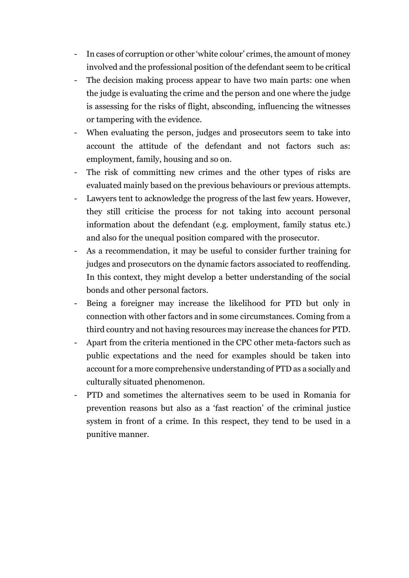- In cases of corruption or other 'white colour' crimes, the amount of money involved and the professional position of the defendant seem to be critical
- The decision making process appear to have two main parts: one when the judge is evaluating the crime and the person and one where the judge is assessing for the risks of flight, absconding, influencing the witnesses or tampering with the evidence.
- When evaluating the person, judges and prosecutors seem to take into account the attitude of the defendant and not factors such as: employment, family, housing and so on.
- The risk of committing new crimes and the other types of risks are evaluated mainly based on the previous behaviours or previous attempts.
- Lawyers tent to acknowledge the progress of the last few years. However, they still criticise the process for not taking into account personal information about the defendant (e.g. employment, family status etc.) and also for the unequal position compared with the prosecutor.
- As a recommendation, it may be useful to consider further training for judges and prosecutors on the dynamic factors associated to reoffending. In this context, they might develop a better understanding of the social bonds and other personal factors.
- Being a foreigner may increase the likelihood for PTD but only in connection with other factors and in some circumstances. Coming from a third country and not having resources may increase the chances for PTD.
- Apart from the criteria mentioned in the CPC other meta-factors such as public expectations and the need for examples should be taken into account for a more comprehensive understanding of PTD as a socially and culturally situated phenomenon.
- PTD and sometimes the alternatives seem to be used in Romania for prevention reasons but also as a 'fast reaction' of the criminal justice system in front of a crime. In this respect, they tend to be used in a punitive manner.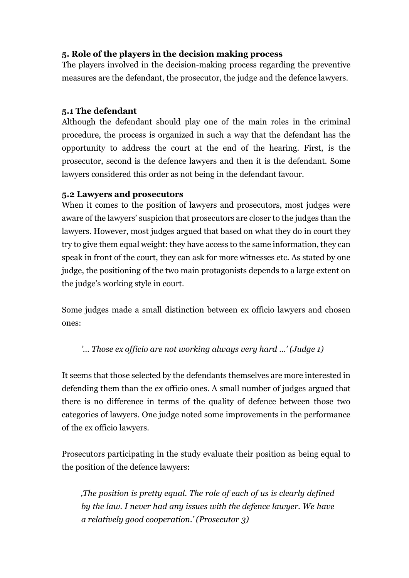# 5. Role of the players in the decision making process

The players involved in the decision-making process regarding the preventive measures are the defendant, the prosecutor, the judge and the defence lawyers.

# 5.1 The defendant

Although the defendant should play one of the main roles in the criminal procedure, the process is organized in such a way that the defendant has the opportunity to address the court at the end of the hearing. First, is the prosecutor, second is the defence lawyers and then it is the defendant. Some lawyers considered this order as not being in the defendant favour.

# 5.2 Lawyers and prosecutors

When it comes to the position of lawyers and prosecutors, most judges were aware of the lawyers' suspicion that prosecutors are closer to the judges than the lawyers. However, most judges argued that based on what they do in court they try to give them equal weight: they have access to the same information, they can speak in front of the court, they can ask for more witnesses etc. As stated by one judge, the positioning of the two main protagonists depends to a large extent on the judge's working style in court.

Some judges made a small distinction between ex officio lawyers and chosen ones:

# '… Those ex officio are not working always very hard …' (Judge 1)

It seems that those selected by the defendants themselves are more interested in defending them than the ex officio ones. A small number of judges argued that there is no difference in terms of the quality of defence between those two categories of lawyers. One judge noted some improvements in the performance of the ex officio lawyers.

Prosecutors participating in the study evaluate their position as being equal to the position of the defence lawyers:

'The position is pretty equal. The role of each of us is clearly defined by the law. I never had any issues with the defence lawyer. We have a relatively good cooperation.' (Prosecutor 3)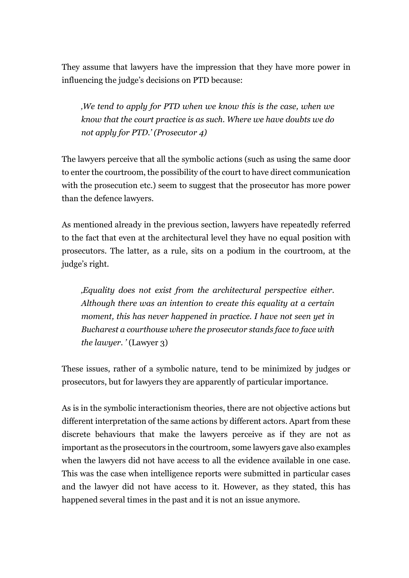They assume that lawyers have the impression that they have more power in influencing the judge's decisions on PTD because:

'We tend to apply for PTD when we know this is the case, when we know that the court practice is as such. Where we have doubts we do not apply for PTD.' (Prosecutor 4)

The lawyers perceive that all the symbolic actions (such as using the same door to enter the courtroom, the possibility of the court to have direct communication with the prosecution etc.) seem to suggest that the prosecutor has more power than the defence lawyers.

As mentioned already in the previous section, lawyers have repeatedly referred to the fact that even at the architectural level they have no equal position with prosecutors. The latter, as a rule, sits on a podium in the courtroom, at the judge's right.

'Equality does not exist from the architectural perspective either. Although there was an intention to create this equality at a certain moment, this has never happened in practice. I have not seen yet in Bucharest a courthouse where the prosecutor stands face to face with the lawyer.  $^{\prime}$  (Lawyer 3)

These issues, rather of a symbolic nature, tend to be minimized by judges or prosecutors, but for lawyers they are apparently of particular importance.

As is in the symbolic interactionism theories, there are not objective actions but different interpretation of the same actions by different actors. Apart from these discrete behaviours that make the lawyers perceive as if they are not as important as the prosecutors in the courtroom, some lawyers gave also examples when the lawyers did not have access to all the evidence available in one case. This was the case when intelligence reports were submitted in particular cases and the lawyer did not have access to it. However, as they stated, this has happened several times in the past and it is not an issue anymore.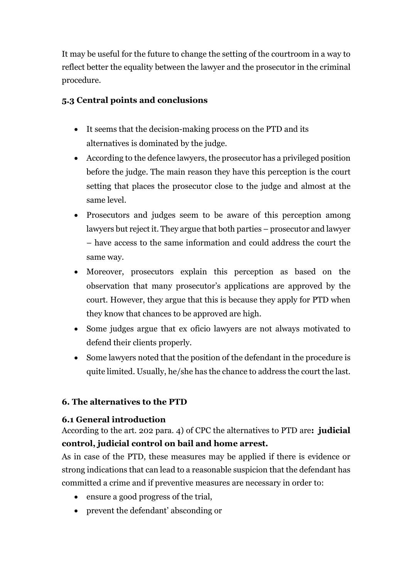It may be useful for the future to change the setting of the courtroom in a way to reflect better the equality between the lawyer and the prosecutor in the criminal procedure.

# 5.3 Central points and conclusions

- It seems that the decision-making process on the PTD and its alternatives is dominated by the judge.
- According to the defence lawyers, the prosecutor has a privileged position before the judge. The main reason they have this perception is the court setting that places the prosecutor close to the judge and almost at the same level.
- Prosecutors and judges seem to be aware of this perception among lawyers but reject it. They argue that both parties – prosecutor and lawyer – have access to the same information and could address the court the same way.
- Moreover, prosecutors explain this perception as based on the observation that many prosecutor's applications are approved by the court. However, they argue that this is because they apply for PTD when they know that chances to be approved are high.
- Some judges argue that ex oficio lawyers are not always motivated to defend their clients properly.
- Some lawyers noted that the position of the defendant in the procedure is quite limited. Usually, he/she has the chance to address the court the last.

# 6. The alternatives to the PTD

# 6.1 General introduction

According to the art. 202 para. 4) of CPC the alternatives to PTD are: judicial control, judicial control on bail and home arrest.

As in case of the PTD, these measures may be applied if there is evidence or strong indications that can lead to a reasonable suspicion that the defendant has committed a crime and if preventive measures are necessary in order to:

- ensure a good progress of the trial,
- prevent the defendant' absconding or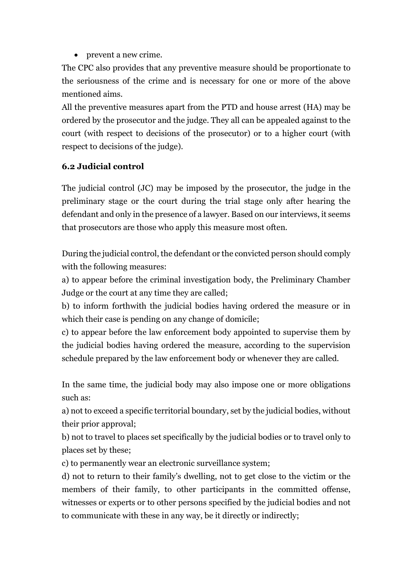• prevent a new crime.

The CPC also provides that any preventive measure should be proportionate to the seriousness of the crime and is necessary for one or more of the above mentioned aims.

All the preventive measures apart from the PTD and house arrest (HA) may be ordered by the prosecutor and the judge. They all can be appealed against to the court (with respect to decisions of the prosecutor) or to a higher court (with respect to decisions of the judge).

# 6.2 Judicial control

The judicial control (JC) may be imposed by the prosecutor, the judge in the preliminary stage or the court during the trial stage only after hearing the defendant and only in the presence of a lawyer. Based on our interviews, it seems that prosecutors are those who apply this measure most often.

During the judicial control, the defendant or the convicted person should comply with the following measures:

a) to appear before the criminal investigation body, the Preliminary Chamber Judge or the court at any time they are called;

b) to inform forthwith the judicial bodies having ordered the measure or in which their case is pending on any change of domicile;

c) to appear before the law enforcement body appointed to supervise them by the judicial bodies having ordered the measure, according to the supervision schedule prepared by the law enforcement body or whenever they are called.

In the same time, the judicial body may also impose one or more obligations such as:

a) not to exceed a specific territorial boundary, set by the judicial bodies, without their prior approval;

b) not to travel to places set specifically by the judicial bodies or to travel only to places set by these;

c) to permanently wear an electronic surveillance system;

d) not to return to their family's dwelling, not to get close to the victim or the members of their family, to other participants in the committed offense, witnesses or experts or to other persons specified by the judicial bodies and not to communicate with these in any way, be it directly or indirectly;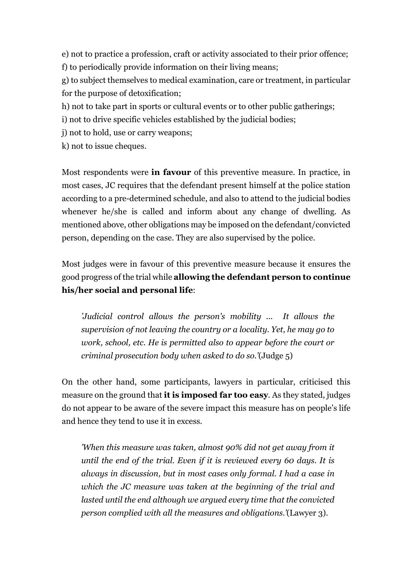e) not to practice a profession, craft or activity associated to their prior offence; f) to periodically provide information on their living means;

g) to subject themselves to medical examination, care or treatment, in particular for the purpose of detoxification;

h) not to take part in sports or cultural events or to other public gatherings;

i) not to drive specific vehicles established by the judicial bodies;

j) not to hold, use or carry weapons;

k) not to issue cheques.

Most respondents were in favour of this preventive measure. In practice, in most cases, JC requires that the defendant present himself at the police station according to a pre-determined schedule, and also to attend to the judicial bodies whenever he/she is called and inform about any change of dwelling. As mentioned above, other obligations may be imposed on the defendant/convicted person, depending on the case. They are also supervised by the police.

Most judges were in favour of this preventive measure because it ensures the good progress of the trial while allowing the defendant person to continue his/her social and personal life:

'Judicial control allows the person's mobility ... It allows the supervision of not leaving the country or a locality. Yet, he may go to work, school, etc. He is permitted also to appear before the court or criminal prosecution body when asked to do so.'(Judge 5)

On the other hand, some participants, lawyers in particular, criticised this measure on the ground that **it is imposed far too easy**. As they stated, judges do not appear to be aware of the severe impact this measure has on people's life and hence they tend to use it in excess.

'When this measure was taken, almost 90% did not get away from it until the end of the trial. Even if it is reviewed every 60 days. It is always in discussion, but in most cases only formal. I had a case in which the JC measure was taken at the beginning of the trial and lasted until the end although we argued every time that the convicted person complied with all the measures and obligations.'(Lawyer 3).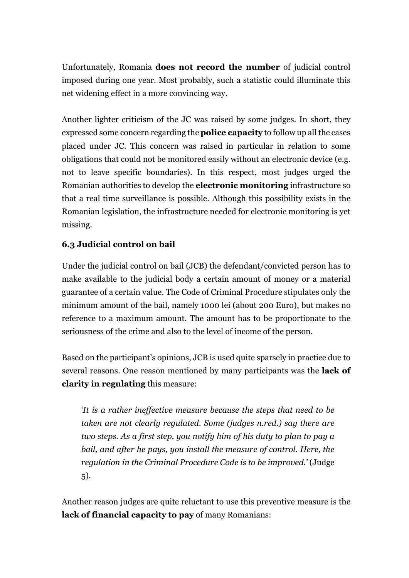Unfortunately, Romania does not record the number of judicial control imposed during one year. Most probably, such a statistic could illuminate this net widening effect in a more convincing way.

Another lighter criticism of the JC was raised by some judges. In short, they expressed some concern regarding the police capacity to follow up all the cases placed under JC. This concern was raised in particular in relation to some obligations that could not be monitored easily without an electronic device (e.g. not to leave specific boundaries). In this respect, most judges urged the Romanian authorities to develop the electronic monitoring infrastructure so that a real time surveillance is possible. Although this possibility exists in the Romanian legislation, the infrastructure needed for electronic monitoring is yet missing.

# 6.3 Judicial control on bail

Under the judicial control on bail (JCB) the defendant/convicted person has to make available to the judicial body a certain amount of money or a material guarantee of a certain value. The Code of Criminal Procedure stipulates only the minimum amount of the bail, namely 1000 lei (about 200 Euro), but makes no reference to a maximum amount. The amount has to be proportionate to the seriousness of the crime and also to the level of income of the person.

Based on the participant's opinions, JCB is used quite sparsely in practice due to several reasons. One reason mentioned by many participants was the **lack of** clarity in regulating this measure:

'It is a rather ineffective measure because the steps that need to be taken are not clearly regulated. Some (judges n.red.) say there are two steps. As a first step, you notify him of his duty to plan to pay a bail, and after he pays, you install the measure of control. Here, the regulation in the Criminal Procedure Code is to be improved.' (Judge 5).

Another reason judges are quite reluctant to use this preventive measure is the lack of financial capacity to pay of many Romanians: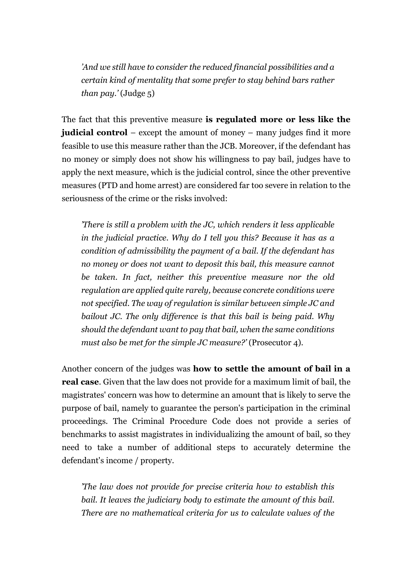'And we still have to consider the reduced financial possibilities and a certain kind of mentality that some prefer to stay behind bars rather *than pay.*' (Judge  $5$ )

The fact that this preventive measure is regulated more or less like the judicial control – except the amount of money – many judges find it more feasible to use this measure rather than the JCB. Moreover, if the defendant has no money or simply does not show his willingness to pay bail, judges have to apply the next measure, which is the judicial control, since the other preventive measures (PTD and home arrest) are considered far too severe in relation to the seriousness of the crime or the risks involved:

'There is still a problem with the JC, which renders it less applicable in the judicial practice. Why do I tell you this? Because it has as a condition of admissibility the payment of a bail. If the defendant has no money or does not want to deposit this bail, this measure cannot be taken. In fact, neither this preventive measure nor the old regulation are applied quite rarely, because concrete conditions were not specified. The way of regulation is similar between simple JC and bailout JC. The only difference is that this bail is being paid. Why should the defendant want to pay that bail, when the same conditions must also be met for the simple JC measure?' (Prosecutor 4).

Another concern of the judges was how to settle the amount of bail in a real case. Given that the law does not provide for a maximum limit of bail, the magistrates' concern was how to determine an amount that is likely to serve the purpose of bail, namely to guarantee the person's participation in the criminal proceedings. The Criminal Procedure Code does not provide a series of benchmarks to assist magistrates in individualizing the amount of bail, so they need to take a number of additional steps to accurately determine the defendant's income / property.

'The law does not provide for precise criteria how to establish this bail. It leaves the judiciary body to estimate the amount of this bail. There are no mathematical criteria for us to calculate values of the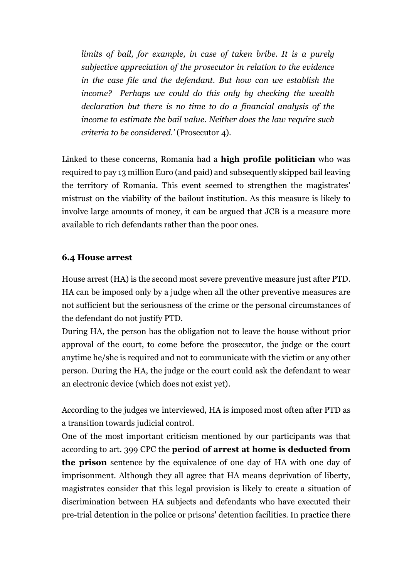limits of bail, for example, in case of taken bribe. It is a purely subjective appreciation of the prosecutor in relation to the evidence in the case file and the defendant. But how can we establish the income? Perhaps we could do this only by checking the wealth declaration but there is no time to do a financial analysis of the income to estimate the bail value. Neither does the law require such criteria to be considered.' (Prosecutor 4).

Linked to these concerns, Romania had a high profile politician who was required to pay 13 million Euro (and paid) and subsequently skipped bail leaving the territory of Romania. This event seemed to strengthen the magistrates' mistrust on the viability of the bailout institution. As this measure is likely to involve large amounts of money, it can be argued that JCB is a measure more available to rich defendants rather than the poor ones.

#### 6.4 House arrest

House arrest (HA) is the second most severe preventive measure just after PTD. HA can be imposed only by a judge when all the other preventive measures are not sufficient but the seriousness of the crime or the personal circumstances of the defendant do not justify PTD.

During HA, the person has the obligation not to leave the house without prior approval of the court, to come before the prosecutor, the judge or the court anytime he/she is required and not to communicate with the victim or any other person. During the HA, the judge or the court could ask the defendant to wear an electronic device (which does not exist yet).

According to the judges we interviewed, HA is imposed most often after PTD as a transition towards judicial control.

One of the most important criticism mentioned by our participants was that according to art. 399 CPC the period of arrest at home is deducted from the prison sentence by the equivalence of one day of HA with one day of imprisonment. Although they all agree that HA means deprivation of liberty, magistrates consider that this legal provision is likely to create a situation of discrimination between HA subjects and defendants who have executed their pre-trial detention in the police or prisons' detention facilities. In practice there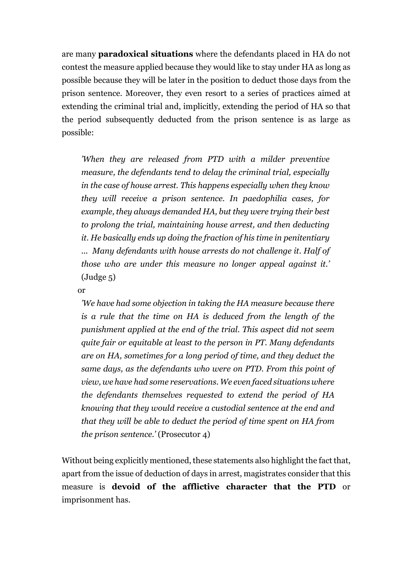are many paradoxical situations where the defendants placed in HA do not contest the measure applied because they would like to stay under HA as long as possible because they will be later in the position to deduct those days from the prison sentence. Moreover, they even resort to a series of practices aimed at extending the criminal trial and, implicitly, extending the period of HA so that the period subsequently deducted from the prison sentence is as large as possible:

'When they are released from PTD with a milder preventive measure, the defendants tend to delay the criminal trial, especially in the case of house arrest. This happens especially when they know they will receive a prison sentence. In paedophilia cases, for example, they always demanded HA, but they were trying their best to prolong the trial, maintaining house arrest, and then deducting it. He basically ends up doing the fraction of his time in penitentiary ... Many defendants with house arrests do not challenge it. Half of those who are under this measure no longer appeal against it.' (Judge 5)

or

'We have had some objection in taking the HA measure because there is a rule that the time on HA is deduced from the length of the punishment applied at the end of the trial. This aspect did not seem quite fair or equitable at least to the person in PT. Many defendants are on HA, sometimes for a long period of time, and they deduct the same days, as the defendants who were on PTD. From this point of view, we have had some reservations. We even faced situations where the defendants themselves requested to extend the period of HA knowing that they would receive a custodial sentence at the end and that they will be able to deduct the period of time spent on HA from the prison sentence.' (Prosecutor 4)

Without being explicitly mentioned, these statements also highlight the fact that, apart from the issue of deduction of days in arrest, magistrates consider that this measure is devoid of the afflictive character that the PTD or imprisonment has.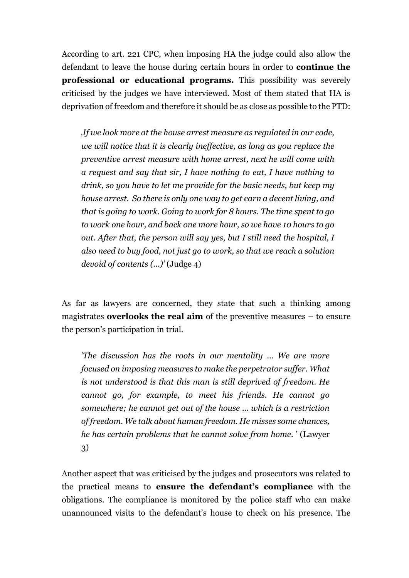According to art. 221 CPC, when imposing HA the judge could also allow the defendant to leave the house during certain hours in order to continue the professional or educational programs. This possibility was severely criticised by the judges we have interviewed. Most of them stated that HA is deprivation of freedom and therefore it should be as close as possible to the PTD:

'If we look more at the house arrest measure as regulated in our code, we will notice that it is clearly ineffective, as long as you replace the preventive arrest measure with home arrest, next he will come with a request and say that sir, I have nothing to eat, I have nothing to drink, so you have to let me provide for the basic needs, but keep my house arrest. So there is only one way to get earn a decent living, and that is going to work. Going to work for 8 hours. The time spent to go to work one hour, and back one more hour, so we have 10 hours to go out. After that, the person will say yes, but I still need the hospital, I also need to buy food, not just go to work, so that we reach a solution devoid of contents (...)' (Judge 4)

As far as lawyers are concerned, they state that such a thinking among magistrates **overlooks the real aim** of the preventive measures  $-$  to ensure the person's participation in trial.

'The discussion has the roots in our mentality ... We are more focused on imposing measures to make the perpetrator suffer. What is not understood is that this man is still deprived of freedom. He cannot go, for example, to meet his friends. He cannot go somewhere; he cannot get out of the house ... which is a restriction of freedom. We talk about human freedom. He misses some chances, he has certain problems that he cannot solve from home. ' (Lawyer 3)

Another aspect that was criticised by the judges and prosecutors was related to the practical means to ensure the defendant's compliance with the obligations. The compliance is monitored by the police staff who can make unannounced visits to the defendant's house to check on his presence. The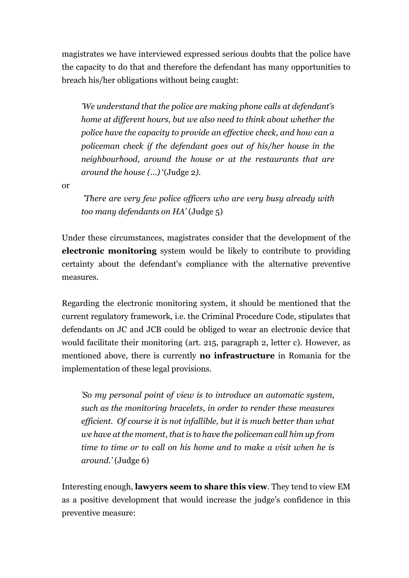magistrates we have interviewed expressed serious doubts that the police have the capacity to do that and therefore the defendant has many opportunities to breach his/her obligations without being caught:

'We understand that the police are making phone calls at defendant's home at different hours, but we also need to think about whether the police have the capacity to provide an effective check, and how can a policeman check if the defendant goes out of his/her house in the neighbourhood, around the house or at the restaurants that are around the house (...) '(Judge 2).

or

 'There are very few police officers who are very busy already with too many defendants on HA' (Judge 5)

Under these circumstances, magistrates consider that the development of the electronic monitoring system would be likely to contribute to providing certainty about the defendant's compliance with the alternative preventive measures.

Regarding the electronic monitoring system, it should be mentioned that the current regulatory framework, i.e. the Criminal Procedure Code, stipulates that defendants on JC and JCB could be obliged to wear an electronic device that would facilitate their monitoring (art. 215, paragraph 2, letter c). However, as mentioned above, there is currently no infrastructure in Romania for the implementation of these legal provisions.

'So my personal point of view is to introduce an automatic system, such as the monitoring bracelets, in order to render these measures efficient. Of course it is not infallible, but it is much better than what we have at the moment, that is to have the policeman call him up from time to time or to call on his home and to make a visit when he is around.' (Judge 6)

Interesting enough, lawyers seem to share this view. They tend to view EM as a positive development that would increase the judge's confidence in this preventive measure: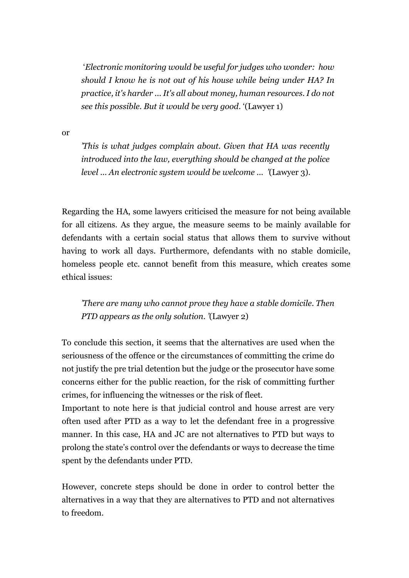'Electronic monitoring would be useful for judges who wonder: how should I know he is not out of his house while being under HA? In practice, it's harder ... It's all about money, human resources. I do not see this possible. But it would be very good. '(Lawyer 1)

or

'This is what judges complain about. Given that HA was recently introduced into the law, everything should be changed at the police level ... An electronic system would be welcome ... '(Lawyer 3).

Regarding the HA, some lawyers criticised the measure for not being available for all citizens. As they argue, the measure seems to be mainly available for defendants with a certain social status that allows them to survive without having to work all days. Furthermore, defendants with no stable domicile, homeless people etc. cannot benefit from this measure, which creates some ethical issues:

'There are many who cannot prove they have a stable domicile. Then PTD appears as the only solution. '(Lawyer 2)

To conclude this section, it seems that the alternatives are used when the seriousness of the offence or the circumstances of committing the crime do not justify the pre trial detention but the judge or the prosecutor have some concerns either for the public reaction, for the risk of committing further crimes, for influencing the witnesses or the risk of fleet.

Important to note here is that judicial control and house arrest are very often used after PTD as a way to let the defendant free in a progressive manner. In this case, HA and JC are not alternatives to PTD but ways to prolong the state's control over the defendants or ways to decrease the time spent by the defendants under PTD.

However, concrete steps should be done in order to control better the alternatives in a way that they are alternatives to PTD and not alternatives to freedom.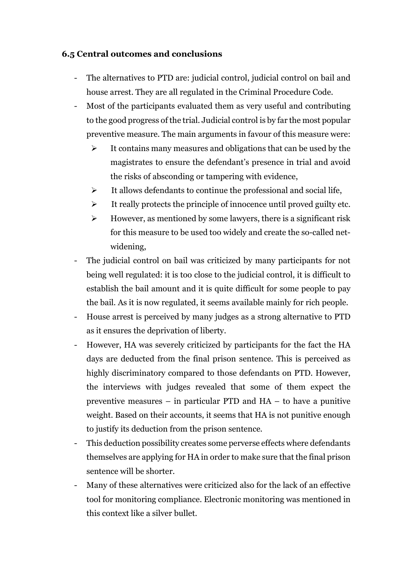#### 6.5 Central outcomes and conclusions

- The alternatives to PTD are: judicial control, judicial control on bail and house arrest. They are all regulated in the Criminal Procedure Code.
- Most of the participants evaluated them as very useful and contributing to the good progress of the trial. Judicial control is by far the most popular preventive measure. The main arguments in favour of this measure were:
	- $\triangleright$  It contains many measures and obligations that can be used by the magistrates to ensure the defendant's presence in trial and avoid the risks of absconding or tampering with evidence,
	- $\triangleright$  It allows defendants to continue the professional and social life,
	- $\triangleright$  It really protects the principle of innocence until proved guilty etc.
	- $\triangleright$  However, as mentioned by some lawyers, there is a significant risk for this measure to be used too widely and create the so-called netwidening,
- The judicial control on bail was criticized by many participants for not being well regulated: it is too close to the judicial control, it is difficult to establish the bail amount and it is quite difficult for some people to pay the bail. As it is now regulated, it seems available mainly for rich people.
- House arrest is perceived by many judges as a strong alternative to PTD as it ensures the deprivation of liberty.
- However, HA was severely criticized by participants for the fact the HA days are deducted from the final prison sentence. This is perceived as highly discriminatory compared to those defendants on PTD. However, the interviews with judges revealed that some of them expect the preventive measures – in particular PTD and HA – to have a punitive weight. Based on their accounts, it seems that HA is not punitive enough to justify its deduction from the prison sentence.
- This deduction possibility creates some perverse effects where defendants themselves are applying for HA in order to make sure that the final prison sentence will be shorter.
- Many of these alternatives were criticized also for the lack of an effective tool for monitoring compliance. Electronic monitoring was mentioned in this context like a silver bullet.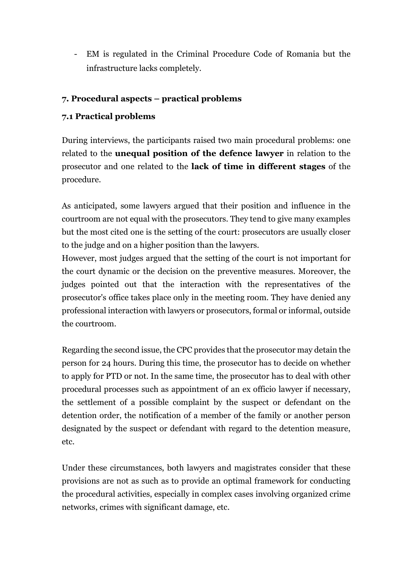- EM is regulated in the Criminal Procedure Code of Romania but the infrastructure lacks completely.

# 7. Procedural aspects – practical problems

# 7.1 Practical problems

During interviews, the participants raised two main procedural problems: one related to the unequal position of the defence lawyer in relation to the prosecutor and one related to the lack of time in different stages of the procedure.

As anticipated, some lawyers argued that their position and influence in the courtroom are not equal with the prosecutors. They tend to give many examples but the most cited one is the setting of the court: prosecutors are usually closer to the judge and on a higher position than the lawyers.

However, most judges argued that the setting of the court is not important for the court dynamic or the decision on the preventive measures. Moreover, the judges pointed out that the interaction with the representatives of the prosecutor's office takes place only in the meeting room. They have denied any professional interaction with lawyers or prosecutors, formal or informal, outside the courtroom.

Regarding the second issue, the CPC provides that the prosecutor may detain the person for 24 hours. During this time, the prosecutor has to decide on whether to apply for PTD or not. In the same time, the prosecutor has to deal with other procedural processes such as appointment of an ex officio lawyer if necessary, the settlement of a possible complaint by the suspect or defendant on the detention order, the notification of a member of the family or another person designated by the suspect or defendant with regard to the detention measure, etc.

Under these circumstances, both lawyers and magistrates consider that these provisions are not as such as to provide an optimal framework for conducting the procedural activities, especially in complex cases involving organized crime networks, crimes with significant damage, etc.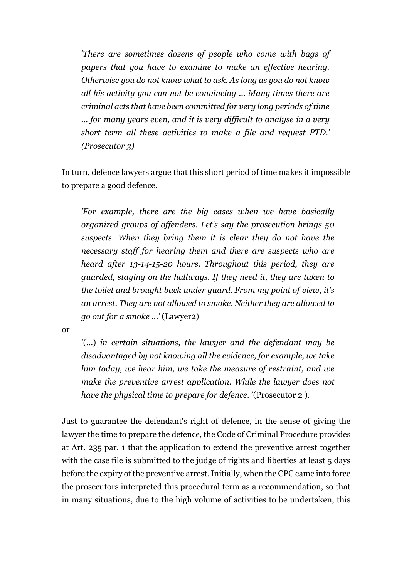'There are sometimes dozens of people who come with bags of papers that you have to examine to make an effective hearing. Otherwise you do not know what to ask. As long as you do not know all his activity you can not be convincing ... Many times there are criminal acts that have been committed for very long periods of time ... for many years even, and it is very difficult to analyse in a very short term all these activities to make a file and request PTD.' (Prosecutor 3)

In turn, defence lawyers argue that this short period of time makes it impossible to prepare a good defence.

'For example, there are the big cases when we have basically organized groups of offenders. Let's say the prosecution brings 50 suspects. When they bring them it is clear they do not have the necessary staff for hearing them and there are suspects who are heard after 13-14-15-20 hours. Throughout this period, they are guarded, staying on the hallways. If they need it, they are taken to the toilet and brought back under guard. From my point of view, it's an arrest. They are not allowed to smoke. Neither they are allowed to go out for a smoke ...' (Lawyer2)

or

'(...) in certain situations, the lawyer and the defendant may be disadvantaged by not knowing all the evidence, for example, we take him today, we hear him, we take the measure of restraint, and we make the preventive arrest application. While the lawyer does not have the physical time to prepare for defence. '(Prosecutor 2 ).

Just to guarantee the defendant's right of defence, in the sense of giving the lawyer the time to prepare the defence, the Code of Criminal Procedure provides at Art. 235 par. 1 that the application to extend the preventive arrest together with the case file is submitted to the judge of rights and liberties at least 5 days before the expiry of the preventive arrest. Initially, when the CPC came into force the prosecutors interpreted this procedural term as a recommendation, so that in many situations, due to the high volume of activities to be undertaken, this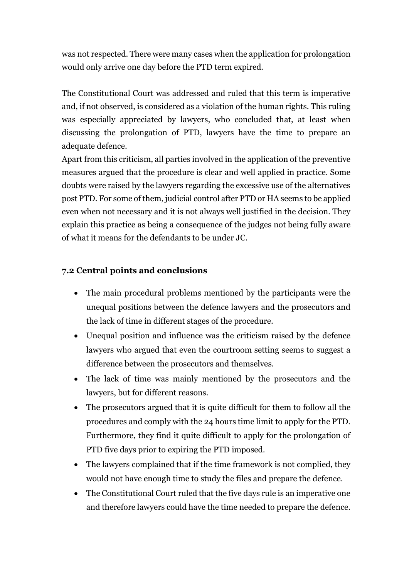was not respected. There were many cases when the application for prolongation would only arrive one day before the PTD term expired.

The Constitutional Court was addressed and ruled that this term is imperative and, if not observed, is considered as a violation of the human rights. This ruling was especially appreciated by lawyers, who concluded that, at least when discussing the prolongation of PTD, lawyers have the time to prepare an adequate defence.

Apart from this criticism, all parties involved in the application of the preventive measures argued that the procedure is clear and well applied in practice. Some doubts were raised by the lawyers regarding the excessive use of the alternatives post PTD. For some of them, judicial control after PTD or HA seems to be applied even when not necessary and it is not always well justified in the decision. They explain this practice as being a consequence of the judges not being fully aware of what it means for the defendants to be under JC.

#### 7.2 Central points and conclusions

- The main procedural problems mentioned by the participants were the unequal positions between the defence lawyers and the prosecutors and the lack of time in different stages of the procedure.
- Unequal position and influence was the criticism raised by the defence lawyers who argued that even the courtroom setting seems to suggest a difference between the prosecutors and themselves.
- The lack of time was mainly mentioned by the prosecutors and the lawyers, but for different reasons.
- The prosecutors argued that it is quite difficult for them to follow all the procedures and comply with the 24 hours time limit to apply for the PTD. Furthermore, they find it quite difficult to apply for the prolongation of PTD five days prior to expiring the PTD imposed.
- The lawyers complained that if the time framework is not complied, they would not have enough time to study the files and prepare the defence.
- The Constitutional Court ruled that the five days rule is an imperative one and therefore lawyers could have the time needed to prepare the defence.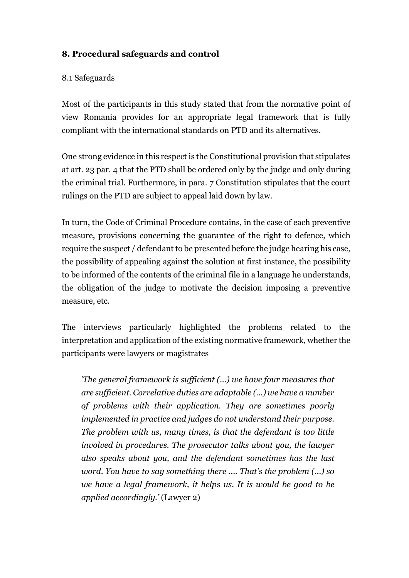# 8. Procedural safeguards and control

#### 8.1 Safeguards

Most of the participants in this study stated that from the normative point of view Romania provides for an appropriate legal framework that is fully compliant with the international standards on PTD and its alternatives.

One strong evidence in this respect is the Constitutional provision that stipulates at art. 23 par. 4 that the PTD shall be ordered only by the judge and only during the criminal trial. Furthermore, in para. 7 Constitution stipulates that the court rulings on the PTD are subject to appeal laid down by law.

In turn, the Code of Criminal Procedure contains, in the case of each preventive measure, provisions concerning the guarantee of the right to defence, which require the suspect / defendant to be presented before the judge hearing his case, the possibility of appealing against the solution at first instance, the possibility to be informed of the contents of the criminal file in a language he understands, the obligation of the judge to motivate the decision imposing a preventive measure, etc.

The interviews particularly highlighted the problems related to the interpretation and application of the existing normative framework, whether the participants were lawyers or magistrates

'The general framework is sufficient (...) we have four measures that are sufficient. Correlative duties are adaptable (...) we have a number of problems with their application. They are sometimes poorly implemented in practice and judges do not understand their purpose. The problem with us, many times, is that the defendant is too little involved in procedures. The prosecutor talks about you, the lawyer also speaks about you, and the defendant sometimes has the last word. You have to say something there .... That's the problem (...) so we have a legal framework, it helps us. It is would be good to be applied accordingly.' (Lawyer 2)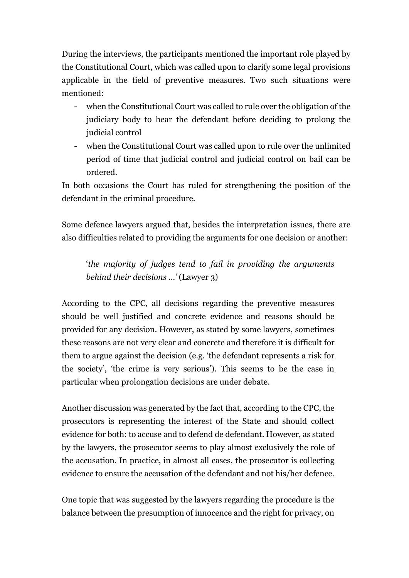During the interviews, the participants mentioned the important role played by the Constitutional Court, which was called upon to clarify some legal provisions applicable in the field of preventive measures. Two such situations were mentioned:

- when the Constitutional Court was called to rule over the obligation of the judiciary body to hear the defendant before deciding to prolong the judicial control
- when the Constitutional Court was called upon to rule over the unlimited period of time that judicial control and judicial control on bail can be ordered.

In both occasions the Court has ruled for strengthening the position of the defendant in the criminal procedure.

Some defence lawyers argued that, besides the interpretation issues, there are also difficulties related to providing the arguments for one decision or another:

'the majority of judges tend to fail in providing the arguments behind their decisions …' (Lawyer 3)

According to the CPC, all decisions regarding the preventive measures should be well justified and concrete evidence and reasons should be provided for any decision. However, as stated by some lawyers, sometimes these reasons are not very clear and concrete and therefore it is difficult for them to argue against the decision (e.g. 'the defendant represents a risk for the society', 'the crime is very serious'). This seems to be the case in particular when prolongation decisions are under debate.

Another discussion was generated by the fact that, according to the CPC, the prosecutors is representing the interest of the State and should collect evidence for both: to accuse and to defend de defendant. However, as stated by the lawyers, the prosecutor seems to play almost exclusively the role of the accusation. In practice, in almost all cases, the prosecutor is collecting evidence to ensure the accusation of the defendant and not his/her defence.

One topic that was suggested by the lawyers regarding the procedure is the balance between the presumption of innocence and the right for privacy, on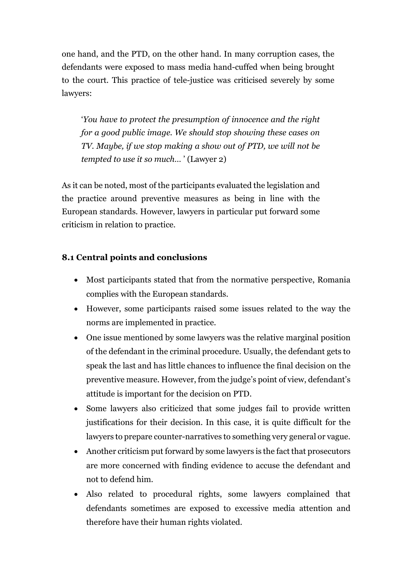one hand, and the PTD, on the other hand. In many corruption cases, the defendants were exposed to mass media hand-cuffed when being brought to the court. This practice of tele-justice was criticised severely by some lawyers:

'You have to protect the presumption of innocence and the right for a good public image. We should stop showing these cases on TV. Maybe, if we stop making a show out of PTD, we will not be tempted to use it so much… ' (Lawyer 2)

As it can be noted, most of the participants evaluated the legislation and the practice around preventive measures as being in line with the European standards. However, lawyers in particular put forward some criticism in relation to practice.

#### 8.1 Central points and conclusions

- Most participants stated that from the normative perspective, Romania complies with the European standards.
- However, some participants raised some issues related to the way the norms are implemented in practice.
- One issue mentioned by some lawyers was the relative marginal position of the defendant in the criminal procedure. Usually, the defendant gets to speak the last and has little chances to influence the final decision on the preventive measure. However, from the judge's point of view, defendant's attitude is important for the decision on PTD.
- Some lawyers also criticized that some judges fail to provide written justifications for their decision. In this case, it is quite difficult for the lawyers to prepare counter-narratives to something very general or vague.
- Another criticism put forward by some lawyers is the fact that prosecutors are more concerned with finding evidence to accuse the defendant and not to defend him.
- Also related to procedural rights, some lawyers complained that defendants sometimes are exposed to excessive media attention and therefore have their human rights violated.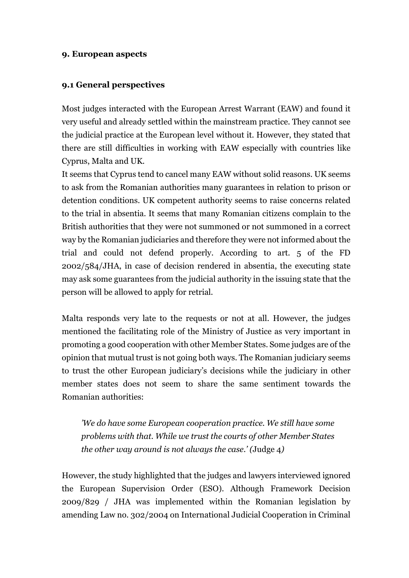#### 9. European aspects

#### 9.1 General perspectives

Most judges interacted with the European Arrest Warrant (EAW) and found it very useful and already settled within the mainstream practice. They cannot see the judicial practice at the European level without it. However, they stated that there are still difficulties in working with EAW especially with countries like Cyprus, Malta and UK.

It seems that Cyprus tend to cancel many EAW without solid reasons. UK seems to ask from the Romanian authorities many guarantees in relation to prison or detention conditions. UK competent authority seems to raise concerns related to the trial in absentia. It seems that many Romanian citizens complain to the British authorities that they were not summoned or not summoned in a correct way by the Romanian judiciaries and therefore they were not informed about the trial and could not defend properly. According to art. 5 of the FD 2002/584/JHA, in case of decision rendered in absentia, the executing state may ask some guarantees from the judicial authority in the issuing state that the person will be allowed to apply for retrial.

Malta responds very late to the requests or not at all. However, the judges mentioned the facilitating role of the Ministry of Justice as very important in promoting a good cooperation with other Member States. Some judges are of the opinion that mutual trust is not going both ways. The Romanian judiciary seems to trust the other European judiciary's decisions while the judiciary in other member states does not seem to share the same sentiment towards the Romanian authorities:

'We do have some European cooperation practice. We still have some problems with that. While we trust the courts of other Member States the other way around is not always the case.' (Judge 4)

However, the study highlighted that the judges and lawyers interviewed ignored the European Supervision Order (ESO). Although Framework Decision 2009/829 / JHA was implemented within the Romanian legislation by amending Law no. 302/2004 on International Judicial Cooperation in Criminal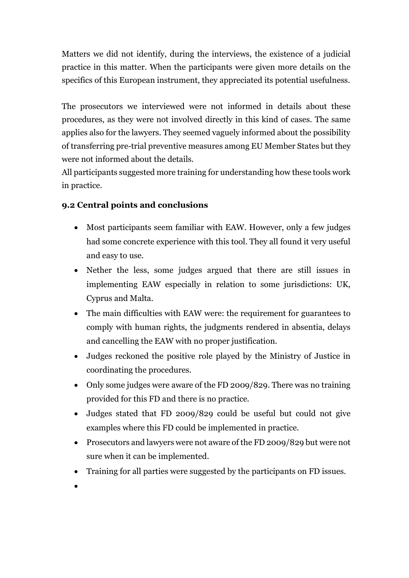Matters we did not identify, during the interviews, the existence of a judicial practice in this matter. When the participants were given more details on the specifics of this European instrument, they appreciated its potential usefulness.

The prosecutors we interviewed were not informed in details about these procedures, as they were not involved directly in this kind of cases. The same applies also for the lawyers. They seemed vaguely informed about the possibility of transferring pre-trial preventive measures among EU Member States but they were not informed about the details.

All participants suggested more training for understanding how these tools work in practice.

# 9.2 Central points and conclusions

- Most participants seem familiar with EAW. However, only a few judges had some concrete experience with this tool. They all found it very useful and easy to use.
- Nether the less, some judges argued that there are still issues in implementing EAW especially in relation to some jurisdictions: UK, Cyprus and Malta.
- The main difficulties with EAW were: the requirement for guarantees to comply with human rights, the judgments rendered in absentia, delays and cancelling the EAW with no proper justification.
- Judges reckoned the positive role played by the Ministry of Justice in coordinating the procedures.
- Only some judges were aware of the FD 2009/829. There was no training provided for this FD and there is no practice.
- Judges stated that FD 2009/829 could be useful but could not give examples where this FD could be implemented in practice.
- Prosecutors and lawyers were not aware of the FD 2009/829 but were not sure when it can be implemented.
- Training for all parties were suggested by the participants on FD issues.
- $\bullet$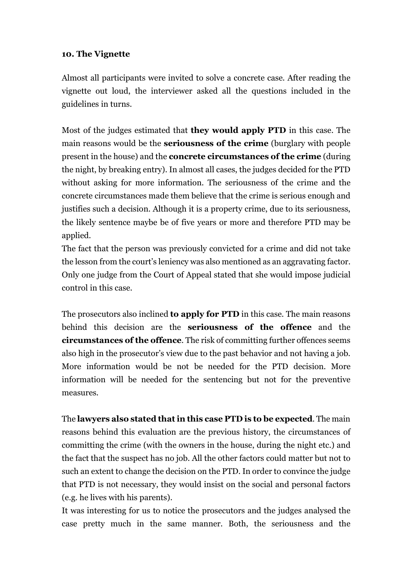#### 10. The Vignette

Almost all participants were invited to solve a concrete case. After reading the vignette out loud, the interviewer asked all the questions included in the guidelines in turns.

Most of the judges estimated that they would apply PTD in this case. The main reasons would be the seriousness of the crime (burglary with people present in the house) and the concrete circumstances of the crime (during the night, by breaking entry). In almost all cases, the judges decided for the PTD without asking for more information. The seriousness of the crime and the concrete circumstances made them believe that the crime is serious enough and justifies such a decision. Although it is a property crime, due to its seriousness, the likely sentence maybe be of five years or more and therefore PTD may be applied.

The fact that the person was previously convicted for a crime and did not take the lesson from the court's leniency was also mentioned as an aggravating factor. Only one judge from the Court of Appeal stated that she would impose judicial control in this case.

The prosecutors also inclined **to apply for PTD** in this case. The main reasons behind this decision are the **seriousness of the offence** and the circumstances of the offence. The risk of committing further offences seems also high in the prosecutor's view due to the past behavior and not having a job. More information would be not be needed for the PTD decision. More information will be needed for the sentencing but not for the preventive measures.

The lawyers also stated that in this case PTD is to be expected. The main reasons behind this evaluation are the previous history, the circumstances of committing the crime (with the owners in the house, during the night etc.) and the fact that the suspect has no job. All the other factors could matter but not to such an extent to change the decision on the PTD. In order to convince the judge that PTD is not necessary, they would insist on the social and personal factors (e.g. he lives with his parents).

It was interesting for us to notice the prosecutors and the judges analysed the case pretty much in the same manner. Both, the seriousness and the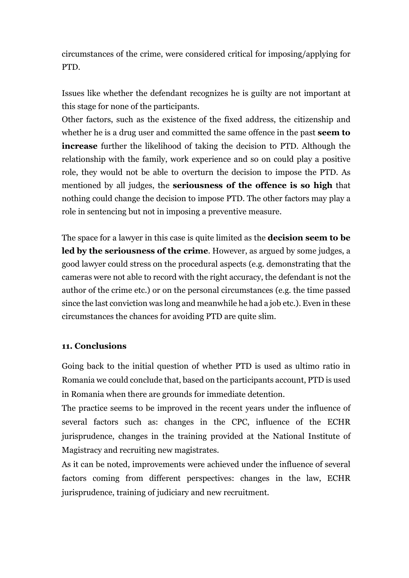circumstances of the crime, were considered critical for imposing/applying for PTD.

Issues like whether the defendant recognizes he is guilty are not important at this stage for none of the participants.

Other factors, such as the existence of the fixed address, the citizenship and whether he is a drug user and committed the same offence in the past **seem to** increase further the likelihood of taking the decision to PTD. Although the relationship with the family, work experience and so on could play a positive role, they would not be able to overturn the decision to impose the PTD. As mentioned by all judges, the seriousness of the offence is so high that nothing could change the decision to impose PTD. The other factors may play a role in sentencing but not in imposing a preventive measure.

The space for a lawyer in this case is quite limited as the **decision seem to be** led by the seriousness of the crime. However, as argued by some judges, a good lawyer could stress on the procedural aspects (e.g. demonstrating that the cameras were not able to record with the right accuracy, the defendant is not the author of the crime etc.) or on the personal circumstances (e.g. the time passed since the last conviction was long and meanwhile he had a job etc.). Even in these circumstances the chances for avoiding PTD are quite slim.

#### 11. Conclusions

Going back to the initial question of whether PTD is used as ultimo ratio in Romania we could conclude that, based on the participants account, PTD is used in Romania when there are grounds for immediate detention.

The practice seems to be improved in the recent years under the influence of several factors such as: changes in the CPC, influence of the ECHR jurisprudence, changes in the training provided at the National Institute of Magistracy and recruiting new magistrates.

As it can be noted, improvements were achieved under the influence of several factors coming from different perspectives: changes in the law, ECHR jurisprudence, training of judiciary and new recruitment.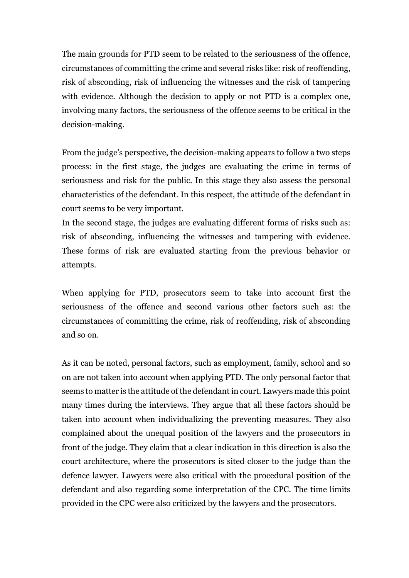The main grounds for PTD seem to be related to the seriousness of the offence, circumstances of committing the crime and several risks like: risk of reoffending, risk of absconding, risk of influencing the witnesses and the risk of tampering with evidence. Although the decision to apply or not PTD is a complex one, involving many factors, the seriousness of the offence seems to be critical in the decision-making.

From the judge's perspective, the decision-making appears to follow a two steps process: in the first stage, the judges are evaluating the crime in terms of seriousness and risk for the public. In this stage they also assess the personal characteristics of the defendant. In this respect, the attitude of the defendant in court seems to be very important.

In the second stage, the judges are evaluating different forms of risks such as: risk of absconding, influencing the witnesses and tampering with evidence. These forms of risk are evaluated starting from the previous behavior or attempts.

When applying for PTD, prosecutors seem to take into account first the seriousness of the offence and second various other factors such as: the circumstances of committing the crime, risk of reoffending, risk of absconding and so on.

As it can be noted, personal factors, such as employment, family, school and so on are not taken into account when applying PTD. The only personal factor that seems to matter is the attitude of the defendant in court. Lawyers made this point many times during the interviews. They argue that all these factors should be taken into account when individualizing the preventing measures. They also complained about the unequal position of the lawyers and the prosecutors in front of the judge. They claim that a clear indication in this direction is also the court architecture, where the prosecutors is sited closer to the judge than the defence lawyer. Lawyers were also critical with the procedural position of the defendant and also regarding some interpretation of the CPC. The time limits provided in the CPC were also criticized by the lawyers and the prosecutors.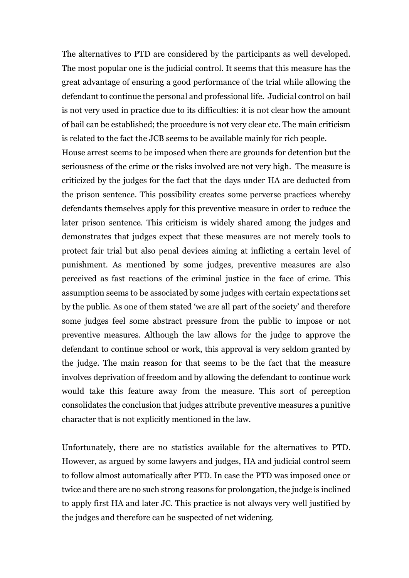The alternatives to PTD are considered by the participants as well developed. The most popular one is the judicial control. It seems that this measure has the great advantage of ensuring a good performance of the trial while allowing the defendant to continue the personal and professional life. Judicial control on bail is not very used in practice due to its difficulties: it is not clear how the amount of bail can be established; the procedure is not very clear etc. The main criticism is related to the fact the JCB seems to be available mainly for rich people.

House arrest seems to be imposed when there are grounds for detention but the seriousness of the crime or the risks involved are not very high. The measure is criticized by the judges for the fact that the days under HA are deducted from the prison sentence. This possibility creates some perverse practices whereby defendants themselves apply for this preventive measure in order to reduce the later prison sentence. This criticism is widely shared among the judges and demonstrates that judges expect that these measures are not merely tools to protect fair trial but also penal devices aiming at inflicting a certain level of punishment. As mentioned by some judges, preventive measures are also perceived as fast reactions of the criminal justice in the face of crime. This assumption seems to be associated by some judges with certain expectations set by the public. As one of them stated 'we are all part of the society' and therefore some judges feel some abstract pressure from the public to impose or not preventive measures. Although the law allows for the judge to approve the defendant to continue school or work, this approval is very seldom granted by the judge. The main reason for that seems to be the fact that the measure involves deprivation of freedom and by allowing the defendant to continue work would take this feature away from the measure. This sort of perception consolidates the conclusion that judges attribute preventive measures a punitive character that is not explicitly mentioned in the law.

Unfortunately, there are no statistics available for the alternatives to PTD. However, as argued by some lawyers and judges, HA and judicial control seem to follow almost automatically after PTD. In case the PTD was imposed once or twice and there are no such strong reasons for prolongation, the judge is inclined to apply first HA and later JC. This practice is not always very well justified by the judges and therefore can be suspected of net widening.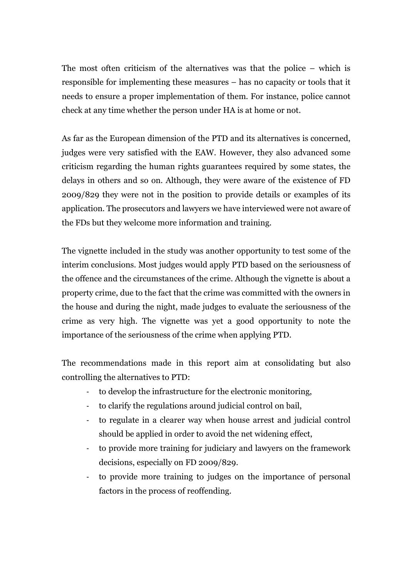The most often criticism of the alternatives was that the police – which is responsible for implementing these measures – has no capacity or tools that it needs to ensure a proper implementation of them. For instance, police cannot check at any time whether the person under HA is at home or not.

As far as the European dimension of the PTD and its alternatives is concerned, judges were very satisfied with the EAW. However, they also advanced some criticism regarding the human rights guarantees required by some states, the delays in others and so on. Although, they were aware of the existence of FD 2009/829 they were not in the position to provide details or examples of its application. The prosecutors and lawyers we have interviewed were not aware of the FDs but they welcome more information and training.

The vignette included in the study was another opportunity to test some of the interim conclusions. Most judges would apply PTD based on the seriousness of the offence and the circumstances of the crime. Although the vignette is about a property crime, due to the fact that the crime was committed with the owners in the house and during the night, made judges to evaluate the seriousness of the crime as very high. The vignette was yet a good opportunity to note the importance of the seriousness of the crime when applying PTD.

The recommendations made in this report aim at consolidating but also controlling the alternatives to PTD:

- to develop the infrastructure for the electronic monitoring,
- to clarify the regulations around judicial control on bail,
- to regulate in a clearer way when house arrest and judicial control should be applied in order to avoid the net widening effect,
- to provide more training for judiciary and lawyers on the framework decisions, especially on FD 2009/829.
- to provide more training to judges on the importance of personal factors in the process of reoffending.